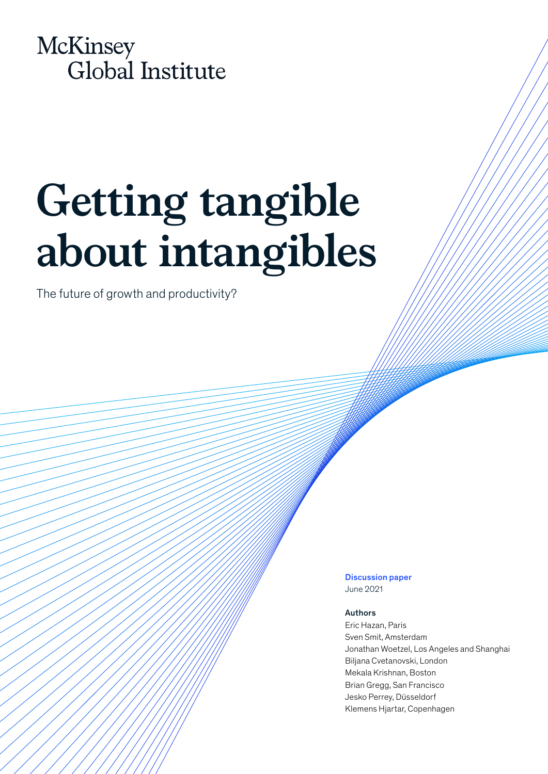

# **Getting tangible about intangibles**

The future of growth and productivity?

Discussion paper June 2021

### Authors

Eric Hazan, Paris Sven Smit, Amsterdam Jonathan Woetzel, Los Angeles and Shanghai Biljana Cvetanovski, London Mekala Krishnan, Boston Brian Gregg, San Francisco Jesko Perrey, Düsseldorf Klemens Hjartar, Copenhagen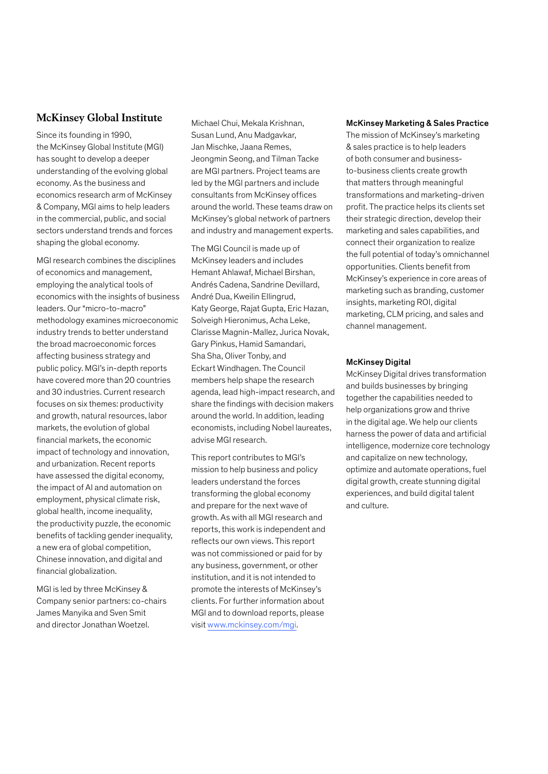# **McKinsey Global Institute**

Since its founding in 1990, the McKinsey Global Institute (MGI) has sought to develop a deeper understanding of the evolving global economy. As the business and economics research arm of McKinsey & Company, MGI aims to help leaders in the commercial, public, and social sectors understand trends and forces shaping the global economy.

MGI research combines the disciplines of economics and management, employing the analytical tools of economics with the insights of business leaders. Our "micro-to-macro" methodology examines microeconomic industry trends to better understand the broad macroeconomic forces affecting business strategy and public policy. MGI's in-depth reports have covered more than 20 countries and 30 industries. Current research focuses on six themes: productivity and growth, natural resources, labor markets, the evolution of global financial markets, the economic impact of technology and innovation, and urbanization. Recent reports have assessed the digital economy, the impact of AI and automation on employment, physical climate risk, global health, income inequality, the productivity puzzle, the economic benefits of tackling gender inequality, a new era of global competition, Chinese innovation, and digital and financial globalization.

MGI is led by three McKinsey & Company senior partners: co-chairs James Manyika and Sven Smit and director Jonathan Woetzel.

Michael Chui, Mekala Krishnan, Susan Lund, Anu Madgavkar, Jan Mischke, Jaana Remes, Jeongmin Seong, and Tilman Tacke are MGI partners. Project teams are led by the MGI partners and include consultants from McKinsey offices around the world. These teams draw on McKinsey's global network of partners and industry and management experts.

The MGI Council is made up of McKinsey leaders and includes Hemant Ahlawaf, Michael Birshan, Andrés Cadena, Sandrine Devillard, André Dua, Kweilin Ellingrud, Katy George, Rajat Gupta, Eric Hazan, Solveigh Hieronimus, Acha Leke, Clarisse Magnin-Mallez, Jurica Novak, Gary Pinkus, Hamid Samandari, Sha Sha, Oliver Tonby, and Eckart Windhagen. The Council members help shape the research agenda, lead high-impact research, and share the findings with decision makers around the world. In addition, leading economists, including Nobel laureates, advise MGI research.

This report contributes to MGI's mission to help business and policy leaders understand the forces transforming the global economy and prepare for the next wave of growth. As with all MGI research and reports, this work is independent and reflects our own views. This report was not commissioned or paid for by any business, government, or other institution, and it is not intended to promote the interests of McKinsey's clients. For further information about MGI and to download reports, please visit [www.mckinsey.com/mgi](http://www.mckinsey.com/mgi).

#### McKinsey Marketing & Sales Practice

The mission of McKinsey's marketing & sales practice is to help leaders of both consumer and businessto-business clients create growth that matters through meaningful transformations and marketing-driven profit. The practice helps its clients set their strategic direction, develop their marketing and sales capabilities, and connect their organization to realize the full potential of today's omnichannel opportunities. Clients benefit from McKinsey's experience in core areas of marketing such as branding, customer insights, marketing ROI, digital marketing, CLM pricing, and sales and channel management.

#### McKinsey Digital

McKinsey Digital drives transformation and builds businesses by bringing together the capabilities needed to help organizations grow and thrive in the digital age. We help our clients harness the power of data and artificial intelligence, modernize core technology and capitalize on new technology, optimize and automate operations, fuel digital growth, create stunning digital experiences, and build digital talent and culture.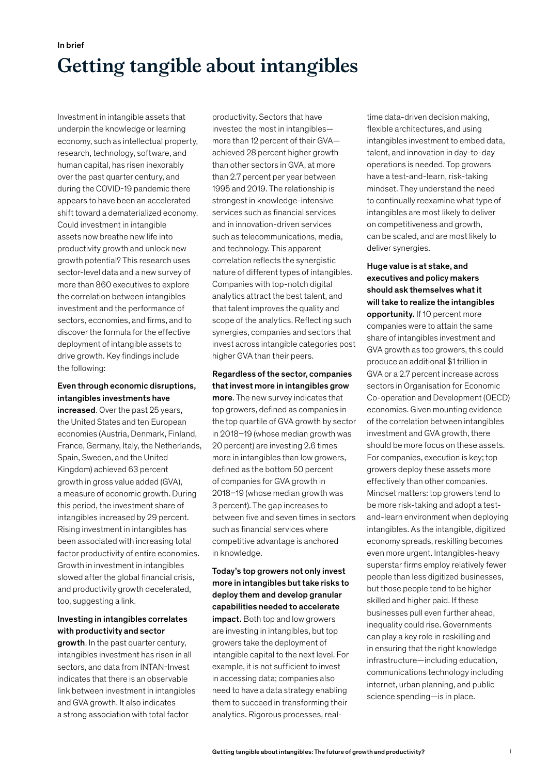# In brief **Getting tangible about intangibles**

Investment in intangible assets that underpin the knowledge or learning economy, such as intellectual property, research, technology, software, and human capital, has risen inexorably over the past quarter century, and during the COVID‑19 pandemic there appears to have been an accelerated shift toward a dematerialized economy. Could investment in intangible assets now breathe new life into productivity growth and unlock new growth potential? This research uses sector-level data and a new survey of more than 860 executives to explore the correlation between intangibles investment and the performance of sectors, economies, and firms, and to discover the formula for the effective deployment of intangible assets to drive growth. Key findings include the following:

# Even through economic disruptions, intangibles investments have

increased. Over the past 25 years, the United States and ten European economies (Austria, Denmark, Finland, France, Germany, Italy, the Netherlands, Spain, Sweden, and the United Kingdom) achieved 63 percent growth in gross value added (GVA), a measure of economic growth. During this period, the investment share of intangibles increased by 29 percent. Rising investment in intangibles has been associated with increasing total factor productivity of entire economies. Growth in investment in intangibles slowed after the global financial crisis, and productivity growth decelerated, too, suggesting a link.

# Investing in intangibles correlates with productivity and sector

growth. In the past quarter century, intangibles investment has risen in all sectors, and data from INTAN-Invest indicates that there is an observable link between investment in intangibles and GVA growth. It also indicates a strong association with total factor

productivity. Sectors that have invested the most in intangibles more than 12 percent of their GVA achieved 28 percent higher growth than other sectors in GVA, at more than 2.7 percent per year between 1995 and 2019. The relationship is strongest in knowledge-intensive services such as financial services and in innovation-driven services such as telecommunications, media, and technology. This apparent correlation reflects the synergistic nature of different types of intangibles. Companies with top-notch digital analytics attract the best talent, and that talent improves the quality and scope of the analytics. Reflecting such synergies, companies and sectors that invest across intangible categories post higher GVA than their peers.

Regardless of the sector, companies that invest more in intangibles grow more. The new survey indicates that top growers, defined as companies in the top quartile of GVA growth by sector in 2018–19 (whose median growth was 20 percent) are investing 2.6 times more in intangibles than low growers, defined as the bottom 50 percent of companies for GVA growth in 2018–19 (whose median growth was 3 percent). The gap increases to between five and seven times in sectors such as financial services where competitive advantage is anchored in knowledge.

Today's top growers not only invest more in intangibles but take risks to deploy them and develop granular capabilities needed to accelerate impact. Both top and low growers are investing in intangibles, but top growers take the deployment of intangible capital to the next level. For example, it is not sufficient to invest in accessing data; companies also need to have a data strategy enabling them to succeed in transforming their analytics. Rigorous processes, real-

time data-driven decision making, flexible architectures, and using intangibles investment to embed data, talent, and innovation in day-to-day operations is needed. Top growers have a test-and-learn, risk-taking mindset. They understand the need to continually reexamine what type of intangibles are most likely to deliver on competitiveness and growth, can be scaled, and are most likely to deliver synergies.

Huge value is at stake, and executives and policy makers should ask themselves what it will take to realize the intangibles opportunity. If 10 percent more companies were to attain the same share of intangibles investment and GVA growth as top growers, this could produce an additional \$1 trillion in GVA or a 2.7 percent increase across sectors in Organisation for Economic Co-operation and Development (OECD) economies. Given mounting evidence of the correlation between intangibles investment and GVA growth, there should be more focus on these assets. For companies, execution is key; top growers deploy these assets more effectively than other companies. Mindset matters: top growers tend to be more risk-taking and adopt a testand-learn environment when deploying intangibles. As the intangible, digitized economy spreads, reskilling becomes even more urgent. Intangibles-heavy superstar firms employ relatively fewer people than less digitized businesses, but those people tend to be higher skilled and higher paid. If these businesses pull even further ahead, inequality could rise. Governments can play a key role in reskilling and in ensuring that the right knowledge infrastructure—including education, communications technology including internet, urban planning, and public science spending—is in place.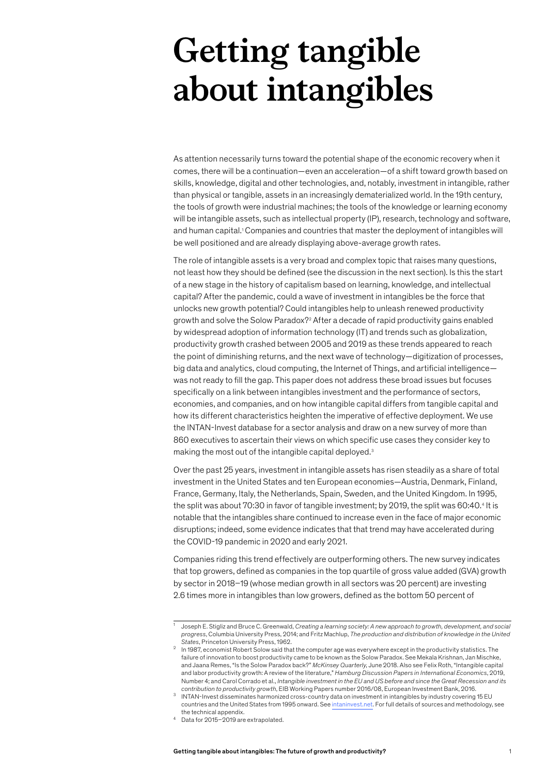# **Getting tangible about intangibles**

As attention necessarily turns toward the potential shape of the economic recovery when it comes, there will be a continuation—even an acceleration—of a shift toward growth based on skills, knowledge, digital and other technologies, and, notably, investment in intangible, rather than physical or tangible, assets in an increasingly dematerialized world. In the 19th century, the tools of growth were industrial machines; the tools of the knowledge or learning economy will be intangible assets, such as intellectual property (IP), research, technology and software, and human capital.<sup>1</sup> Companies and countries that master the deployment of intangibles will be well positioned and are already displaying above-average growth rates.

The role of intangible assets is a very broad and complex topic that raises many questions, not least how they should be defined (see the discussion in the next section). Is this the start of a new stage in the history of capitalism based on learning, knowledge, and intellectual capital? After the pandemic, could a wave of investment in intangibles be the force that unlocks new growth potential? Could intangibles help to unleash renewed productivity growth and solve the Solow Paradox?<sup>2</sup> After a decade of rapid productivity gains enabled by widespread adoption of information technology (IT) and trends such as globalization, productivity growth crashed between 2005 and 2019 as these trends appeared to reach the point of diminishing returns, and the next wave of technology—digitization of processes, big data and analytics, cloud computing, the Internet of Things, and artificial intelligence was not ready to fill the gap. This paper does not address these broad issues but focuses specifically on a link between intangibles investment and the performance of sectors, economies, and companies, and on how intangible capital differs from tangible capital and how its different characteristics heighten the imperative of effective deployment. We use the INTAN-Invest database for a sector analysis and draw on a new survey of more than 860 executives to ascertain their views on which specific use cases they consider key to making the most out of the intangible capital deployed.3

Over the past 25 years, investment in intangible assets has risen steadily as a share of total investment in the United States and ten European economies—Austria, Denmark, Finland, France, Germany, Italy, the Netherlands, Spain, Sweden, and the United Kingdom. In 1995, the split was about 70:30 in favor of tangible investment; by 2019, the split was 60:40.4 It is notable that the intangibles share continued to increase even in the face of major economic disruptions; indeed, some evidence indicates that that trend may have accelerated during the COVID‑19 pandemic in 2020 and early 2021.

Companies riding this trend effectively are outperforming others. The new survey indicates that top growers, defined as companies in the top quartile of gross value added (GVA) growth by sector in 2018–19 (whose median growth in all sectors was 20 percent) are investing 2.6 times more in intangibles than low growers, defined as the bottom 50 percent of

<sup>1</sup> Joseph E. Stigliz and Bruce C. Greenwald, *Creating a learning society: A new approach to growth, development, and social progress*, Columbia University Press, 2014; and Fritz Machlup, *The production and distribution of knowledge in the United* 

States, Princeton University Press, 1962.<br>In 1987, economist Robert Solow said that the computer age was everywhere except in the productivity statistics. The failure of innovation to boost productivity came to be known as the Solow Paradox. See Mekala Krishnan, Jan Mischke, and Jaana Remes, "Is the Solow Paradox back?" *McKinsey Quarterly*, June 2018. Also see Felix Roth, "Intangible capital and labor productivity growth: A review of the literature," *Hamburg Discussion Papers in International Economics*, 2019, Number 4; and Carol Corrado et al., *Intangible investment in the EU and US before and since the Great Recession and its contribution to productivity growth*, EIB Working Papers number 2016/08, European Investment Bank, 2016.

<sup>3</sup> INTAN-Invest disseminates harmonized cross-country data on investment in intangibles by industry covering 15 EU countries and the United States from 1995 onward. See [intaninvest.net](http://www.intaninvest.net/). For full details of sources and methodology, see

the technical appendix. 4 Data for 2015–2019 are extrapolated.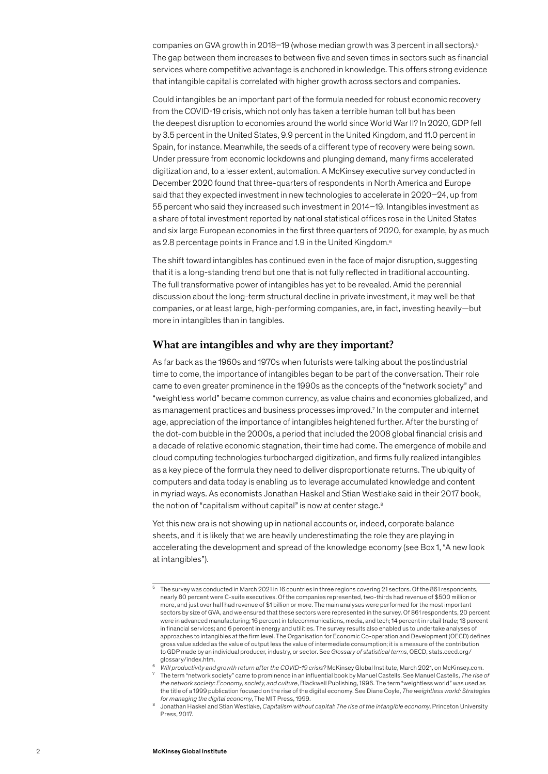companies on GVA growth in 2018–19 (whose median growth was 3 percent in all sectors).<sup>5</sup> The gap between them increases to between five and seven times in sectors such as financial services where competitive advantage is anchored in knowledge. This offers strong evidence that intangible capital is correlated with higher growth across sectors and companies.

Could intangibles be an important part of the formula needed for robust economic recovery from the COVID-19 crisis, which not only has taken a terrible human toll but has been the deepest disruption to economies around the world since World War II? In 2020, GDP fell by 3.5 percent in the United States, 9.9 percent in the United Kingdom, and 11.0 percent in Spain, for instance. Meanwhile, the seeds of a different type of recovery were being sown. Under pressure from economic lockdowns and plunging demand, many firms accelerated digitization and, to a lesser extent, automation. A McKinsey executive survey conducted in December 2020 found that three-quarters of respondents in North America and Europe said that they expected investment in new technologies to accelerate in 2020–24, up from 55 percent who said they increased such investment in 2014–19. Intangibles investment as a share of total investment reported by national statistical offices rose in the United States and six large European economies in the first three quarters of 2020, for example, by as much as 2.8 percentage points in France and 1.9 in the United Kingdom.6

The shift toward intangibles has continued even in the face of major disruption, suggesting that it is a long-standing trend but one that is not fully reflected in traditional accounting. The full transformative power of intangibles has yet to be revealed. Amid the perennial discussion about the long-term structural decline in private investment, it may well be that companies, or at least large, high-performing companies, are, in fact, investing heavily—but more in intangibles than in tangibles.

#### **What are intangibles and why are they important?**

As far back as the 1960s and 1970s when futurists were talking about the postindustrial time to come, the importance of intangibles began to be part of the conversation. Their role came to even greater prominence in the 1990s as the concepts of the "network society" and "weightless world" became common currency, as value chains and economies globalized, and as management practices and business processes improved.7 In the computer and internet age, appreciation of the importance of intangibles heightened further. After the bursting of the dot-com bubble in the 2000s, a period that included the 2008 global financial crisis and a decade of relative economic stagnation, their time had come. The emergence of mobile and cloud computing technologies turbocharged digitization, and firms fully realized intangibles as a key piece of the formula they need to deliver disproportionate returns. The ubiquity of computers and data today is enabling us to leverage accumulated knowledge and content in myriad ways. As economists Jonathan Haskel and Stian Westlake said in their 2017 book, the notion of "capitalism without capital" is now at center stage.<sup>8</sup>

Yet this new era is not showing up in national accounts or, indeed, corporate balance sheets, and it is likely that we are heavily underestimating the role they are playing in accelerating the development and spread of the knowledge economy (see Box 1, "A new look at intangibles").

The term "network society" came to prominence in an influential book by Manuel Castells. See Manuel Castells, The rise of *the network society: Economy, society, and culture*, Blackwell Publishing, 1996. The term "weightless world" was used as the title of a 1999 publication focused on the rise of the digital economy. See Diane Coyle, *The weightless world: Strategies* 

 $\overline{5}$  The survey was conducted in March 2021 in 16 countries in three regions covering 21 sectors. Of the 861 respondents, nearly 80 percent were C-suite executives. Of the companies represented, two-thirds had revenue of \$500 million or more, and just over half had revenue of \$1 billion or more. The main analyses were performed for the most important sectors by size of GVA, and we ensured that these sectors were represented in the survey. Of 861 respondents, 20 percent were in advanced manufacturing; 16 percent in telecommunications, media, and tech; 14 percent in retail trade; 13 percent in financial services; and 6 percent in energy and utilities. The survey results also enabled us to undertake analyses of approaches to intangibles at the firm level. The Organisation for Economic Co-operation and Development (OECD) defines gross value added as the value of output less the value of intermediate consumption; it is a measure of the contribution to GDP made by an individual producer, industry, or sector. See *Glossary of statistical terms*, OECD, stats.oecd.org/ glossary/index.htm.<br>Will productivity and growth return after the COVID-19 crisis? McKinsey Global Institute, March 2021, on McKinsey.com.

*for managing the digital economy*, The MIT Press, 1999. 8 Jonathan Haskel and Stian Westlake, *Capitalism without capital: The rise of the intangible economy*, Princeton University Press, 2017.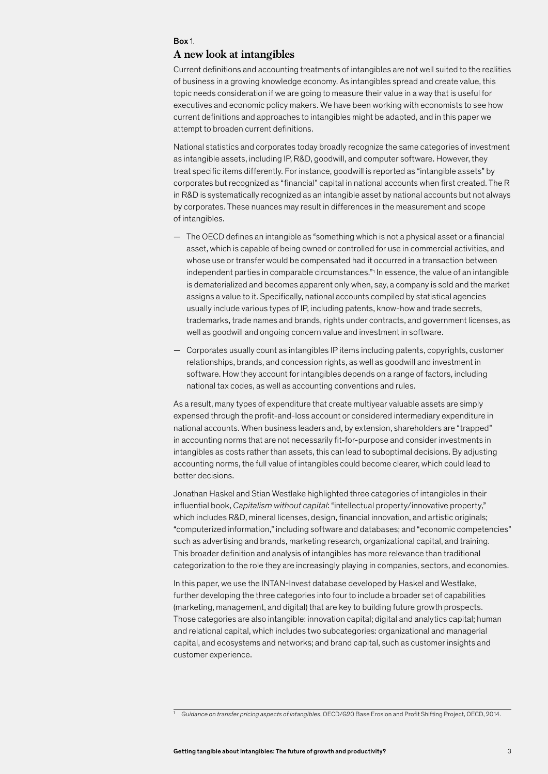#### Box 1.

#### **A new look at intangibles**

Current definitions and accounting treatments of intangibles are not well suited to the realities of business in a growing knowledge economy. As intangibles spread and create value, this topic needs consideration if we are going to measure their value in a way that is useful for executives and economic policy makers. We have been working with economists to see how current definitions and approaches to intangibles might be adapted, and in this paper we attempt to broaden current definitions.

National statistics and corporates today broadly recognize the same categories of investment as intangible assets, including IP, R&D, goodwill, and computer software. However, they treat specific items differently. For instance, goodwill is reported as "intangible assets" by corporates but recognized as "financial" capital in national accounts when first created. The R in R&D is systematically recognized as an intangible asset by national accounts but not always by corporates. These nuances may result in differences in the measurement and scope of intangibles.

- The OECD defines an intangible as "something which is not a physical asset or a financial asset, which is capable of being owned or controlled for use in commercial activities, and whose use or transfer would be compensated had it occurred in a transaction between independent parties in comparable circumstances." 1 In essence, the value of an intangible is dematerialized and becomes apparent only when, say, a company is sold and the market assigns a value to it. Specifically, national accounts compiled by statistical agencies usually include various types of IP, including patents, know-how and trade secrets, trademarks, trade names and brands, rights under contracts, and government licenses, as well as goodwill and ongoing concern value and investment in software.
- Corporates usually count as intangibles IP items including patents, copyrights, customer relationships, brands, and concession rights, as well as goodwill and investment in software. How they account for intangibles depends on a range of factors, including national tax codes, as well as accounting conventions and rules.

As a result, many types of expenditure that create multiyear valuable assets are simply expensed through the profit-and-loss account or considered intermediary expenditure in national accounts. When business leaders and, by extension, shareholders are "trapped" in accounting norms that are not necessarily fit-for-purpose and consider investments in intangibles as costs rather than assets, this can lead to suboptimal decisions. By adjusting accounting norms, the full value of intangibles could become clearer, which could lead to better decisions.

Jonathan Haskel and Stian Westlake highlighted three categories of intangibles in their influential book, *Capitalism without capital*: "intellectual property/innovative property," which includes R&D, mineral licenses, design, financial innovation, and artistic originals; "computerized information," including software and databases; and "economic competencies" such as advertising and brands, marketing research, organizational capital, and training. This broader definition and analysis of intangibles has more relevance than traditional categorization to the role they are increasingly playing in companies, sectors, and economies.

In this paper, we use the INTAN-Invest database developed by Haskel and Westlake, further developing the three categories into four to include a broader set of capabilities (marketing, management, and digital) that are key to building future growth prospects. Those categories are also intangible: innovation capital; digital and analytics capital; human and relational capital, which includes two subcategories: organizational and managerial capital, and ecosystems and networks; and brand capital, such as customer insights and customer experience.

<sup>1</sup> *Guidance on transfer pricing aspects of intangibles*, OECD/G20 Base Erosion and Profit Shifting Project, OECD, 2014.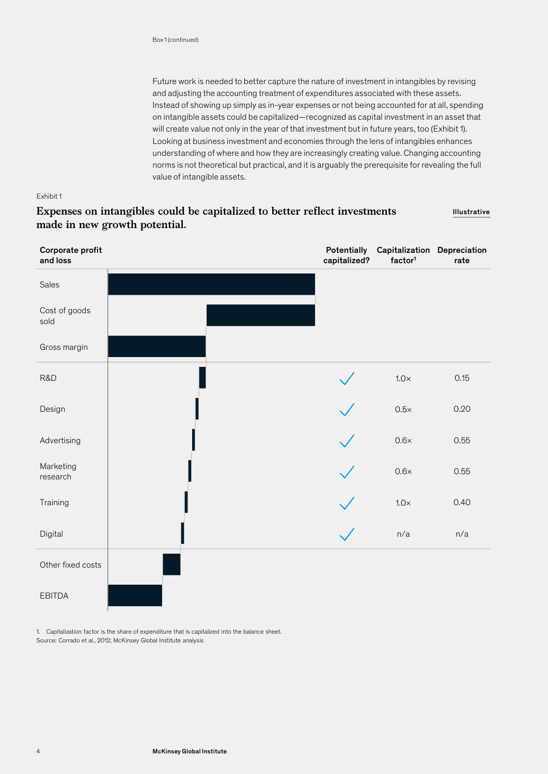Future work is needed to better capture the nature of investment in intangibles by revising and adjusting the accounting treatment of expenditures associated with these assets. Instead of showing up simply as in-year expenses or not being accounted for at all, spending on intangible assets could be capitalized—recognized as capital investment in an asset that will create value not only in the year of that investment but in future years, too (Exhibit 1). Looking at business investment and economies through the lens of intangibles enhances understanding of where and how they are increasingly creating value. Changing accounting norms is not theoretical but practical, and it is arguably the prerequisite for revealing the full value of intangible assets.

#### Exhibit 1

#### **Expenses on intangibles could be capitalized to better reflect investments made in new growth potential.** Illustrative

| Corporate profit<br>and loss |  | Potentially<br>capitalized? | Capitalization Depreciation<br>factor <sup>1</sup> | rate |
|------------------------------|--|-----------------------------|----------------------------------------------------|------|
| Sales                        |  |                             |                                                    |      |
| Cost of goods<br>sold        |  |                             |                                                    |      |
| Gross margin                 |  |                             |                                                    |      |
| R&D                          |  |                             | $1.0\times$                                        | 0.15 |
| Design                       |  |                             | $0.5\times$                                        | 0.20 |
| Advertising                  |  |                             | $0.6\times$                                        | 0.55 |
| Marketing<br>research        |  |                             | $0.6\times$                                        | 0.55 |
| Training                     |  |                             | $1.0\times$                                        | 0.40 |
| Digital                      |  |                             | n/a                                                | n/a  |
| Other fixed costs            |  |                             |                                                    |      |
| <b>EBITDA</b>                |  |                             |                                                    |      |

Source: Corrado et al., 2012; McKinsey Global Institute analysis 1. Capitalization factor is the share of expenditure that is capitalized into the balance sheet.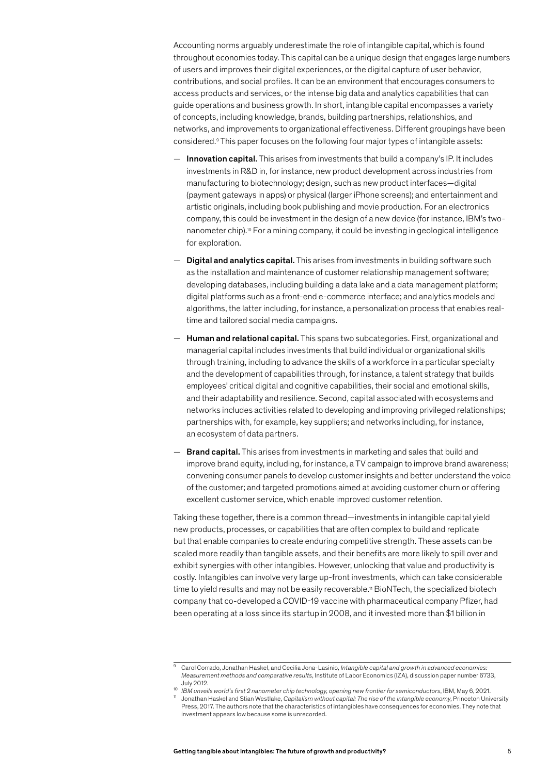Accounting norms arguably underestimate the role of intangible capital, which is found throughout economies today. This capital can be a unique design that engages large numbers of users and improves their digital experiences, or the digital capture of user behavior, contributions, and social profiles. It can be an environment that encourages consumers to access products and services, or the intense big data and analytics capabilities that can guide operations and business growth. In short, intangible capital encompasses a variety of concepts, including knowledge, brands, building partnerships, relationships, and networks, and improvements to organizational effectiveness. Different groupings have been considered.9 This paper focuses on the following four major types of intangible assets:

- $-$  Innovation capital. This arises from investments that build a company's IP. It includes investments in R&D in, for instance, new product development across industries from manufacturing to biotechnology; design, such as new product interfaces—digital (payment gateways in apps) or physical (larger iPhone screens); and entertainment and artistic originals, including book publishing and movie production. For an electronics company, this could be investment in the design of a new device (for instance, IBM's twonanometer chip).10 For a mining company, it could be investing in geological intelligence for exploration.
- **Digital and analytics capital.** This arises from investments in building software such as the installation and maintenance of customer relationship management software; developing databases, including building a data lake and a data management platform; digital platforms such as a front-end e-commerce interface; and analytics models and algorithms, the latter including, for instance, a personalization process that enables realtime and tailored social media campaigns.
- $-$  Human and relational capital. This spans two subcategories. First, organizational and managerial capital includes investments that build individual or organizational skills through training, including to advance the skills of a workforce in a particular specialty and the development of capabilities through, for instance, a talent strategy that builds employees' critical digital and cognitive capabilities, their social and emotional skills, and their adaptability and resilience. Second, capital associated with ecosystems and networks includes activities related to developing and improving privileged relationships; partnerships with, for example, key suppliers; and networks including, for instance, an ecosystem of data partners.
- **Brand capital.** This arises from investments in marketing and sales that build and improve brand equity, including, for instance, a TV campaign to improve brand awareness; convening consumer panels to develop customer insights and better understand the voice of the customer; and targeted promotions aimed at avoiding customer churn or offering excellent customer service, which enable improved customer retention.

Taking these together, there is a common thread—investments in intangible capital yield new products, processes, or capabilities that are often complex to build and replicate but that enable companies to create enduring competitive strength. These assets can be scaled more readily than tangible assets, and their benefits are more likely to spill over and exhibit synergies with other intangibles. However, unlocking that value and productivity is costly. Intangibles can involve very large up-front investments, which can take considerable time to yield results and may not be easily recoverable.<sup>11</sup> BioNTech, the specialized biotech company that co-developed a COVID‑19 vaccine with pharmaceutical company Pfizer, had been operating at a loss since its startup in 2008, and it invested more than \$1 billion in

<sup>9</sup> Carol Corrado, Jonathan Haskel, and Cecilia Jona-Lasinio*, Intangible capital and growth in advanced economies: Measurement methods and comparative results*, Institute of Labor Economics (IZA), discussion paper number 6733, July 2012.

<sup>10</sup> *IBM unveils world's first 2 nanometer chip technology, opening new frontier for semiconductors*, IBM, May 6, 2021. <sup>11</sup> Jonathan Haskel and Stian Westlake, *Capitalism without capital: The rise of the intangible economy*, Princeton University Press, 2017. The authors note that the characteristics of intangibles have consequences for economies. They note that investment appears low because some is unrecorded.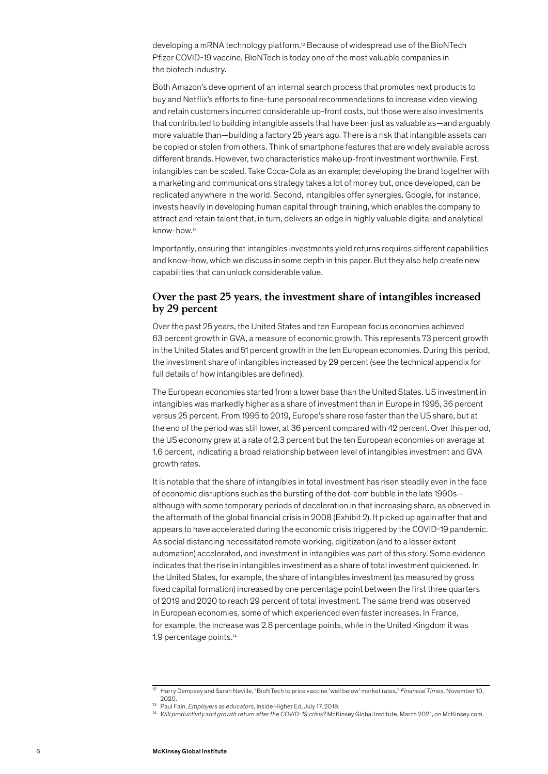developing a mRNA technology platform.<sup>12</sup> Because of widespread use of the BioNTech Pfizer COVID‑19 vaccine, BioNTech is today one of the most valuable companies in the biotech industry.

Both Amazon's development of an internal search process that promotes next products to buy and Netflix's efforts to fine-tune personal recommendations to increase video viewing and retain customers incurred considerable up-front costs, but those were also investments that contributed to building intangible assets that have been just as valuable as—and arguably more valuable than—building a factory 25 years ago. There is a risk that intangible assets can be copied or stolen from others. Think of smartphone features that are widely available across different brands. However, two characteristics make up-front investment worthwhile. First, intangibles can be scaled. Take Coca-Cola as an example; developing the brand together with a marketing and communications strategy takes a lot of money but, once developed, can be replicated anywhere in the world. Second, intangibles offer synergies. Google, for instance, invests heavily in developing human capital through training, which enables the company to attract and retain talent that, in turn, delivers an edge in highly valuable digital and analytical know-how.13

Importantly, ensuring that intangibles investments yield returns requires different capabilities and know-how, which we discuss in some depth in this paper. But they also help create new capabilities that can unlock considerable value.

## **Over the past 25 years, the investment share of intangibles increased by 29 percent**

Over the past 25 years, the United States and ten European focus economies achieved 63 percent growth in GVA, a measure of economic growth. This represents 73 percent growth in the United States and 51 percent growth in the ten European economies. During this period, the investment share of intangibles increased by 29 percent (see the technical appendix for full details of how intangibles are defined).

The European economies started from a lower base than the United States. US investment in intangibles was markedly higher as a share of investment than in Europe in 1995, 36 percent versus 25 percent. From 1995 to 2019, Europe's share rose faster than the US share, but at the end of the period was still lower, at 36 percent compared with 42 percent. Over this period, the US economy grew at a rate of 2.3 percent but the ten European economies on average at 1.6 percent, indicating a broad relationship between level of intangibles investment and GVA growth rates.

It is notable that the share of intangibles in total investment has risen steadily even in the face of economic disruptions such as the bursting of the dot-com bubble in the late 1990s although with some temporary periods of deceleration in that increasing share, as observed in the aftermath of the global financial crisis in 2008 (Exhibit 2). It picked up again after that and appears to have accelerated during the economic crisis triggered by the COVID-19 pandemic. As social distancing necessitated remote working, digitization (and to a lesser extent automation) accelerated, and investment in intangibles was part of this story. Some evidence indicates that the rise in intangibles investment as a share of total investment quickened. In the United States, for example, the share of intangibles investment (as measured by gross fixed capital formation) increased by one percentage point between the first three quarters of 2019 and 2020 to reach 29 percent of total investment. The same trend was observed in European economies, some of which experienced even faster increases. In France, for example, the increase was 2.8 percentage points, while in the United Kingdom it was 1.9 percentage points.14

<sup>12</sup> Harry Dempsey and Sarah Neville, "BioNTech to price vaccine 'well below' market rates," *Financial Times*, November 10, 2020.

<sup>13</sup> Paul Fain, *Employers as educators*, Inside Higher Ed, July 17, 2019.

<sup>&</sup>lt;sup>14</sup> Will productivity and growth return after the COVID-19 crisis? McKinsey Global Institute, March 2021, on McKinsey.com.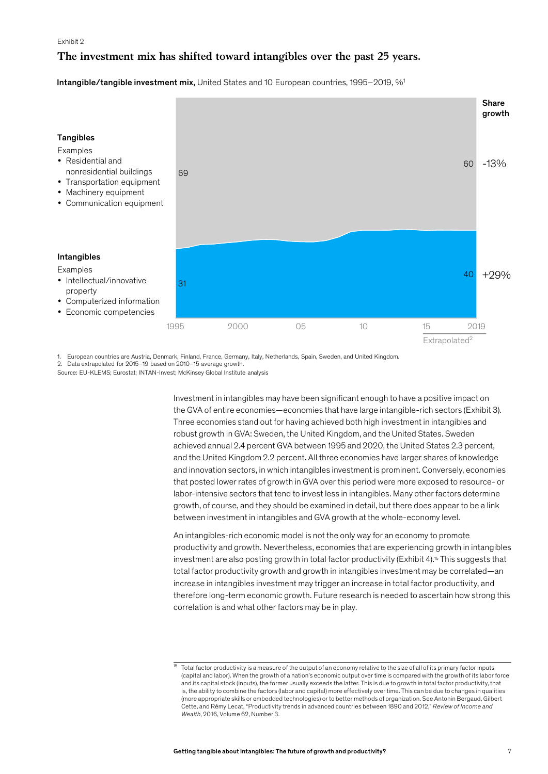# **The investment mix has shifted toward intangibles over the past 25 years.**

Intangible/tangible investment mix, United States and 10 European countries, 1995–2019, %<sup>1</sup>



1. European countries are Austria, Denmark, Finland, France, Germany, Italy, Netherlands, Spain, Sweden, and United Kingdom.

2. Data extrapolated for 2015–19 based on 2010–15 average growth.

Source: EU-KLEMS; Eurostat; INTAN-Invest; McKinsey Global Institute analysis

Investment in intangibles may have been significant enough to have a positive impact on the GVA of entire economies—economies that have large intangible-rich sectors (Exhibit 3). Three economies stand out for having achieved both high investment in intangibles and robust growth in GVA: Sweden, the United Kingdom, and the United States. Sweden achieved annual 2.4 percent GVA between 1995 and 2020, the United States 2.3 percent, and the United Kingdom 2.2 percent. All three economies have larger shares of knowledge and innovation sectors, in which intangibles investment is prominent. Conversely, economies that posted lower rates of growth in GVA over this period were more exposed to resource- or labor-intensive sectors that tend to invest less in intangibles. Many other factors determine growth, of course, and they should be examined in detail, but there does appear to be a link between investment in intangibles and GVA growth at the whole-economy level.

An intangibles-rich economic model is not the only way for an economy to promote productivity and growth. Nevertheless, economies that are experiencing growth in intangibles investment are also posting growth in total factor productivity (Exhibit 4).<sup>15</sup> This suggests that total factor productivity growth and growth in intangibles investment may be correlated—an increase in intangibles investment may trigger an increase in total factor productivity, and therefore long-term economic growth. Future research is needed to ascertain how strong this correlation is and what other factors may be in play.

Total factor productivity is a measure of the output of an economy relative to the size of all of its primary factor inputs (capital and labor). When the growth of a nation's economic output over time is compared with the growth of its labor force and its capital stock (inputs), the former usually exceeds the latter. This is due to growth in total factor productivity, that is, the ability to combine the factors (labor and capital) more effectively over time. This can be due to changes in qualities (more appropriate skills or embedded technologies) or to better methods of organization. See Antonin Bergaud, Gilbert Cette, and Rémy Lecat, "Productivity trends in advanced countries between 1890 and 2012," *Review of Income and Wealth*, 2016, Volume 62, Number 3.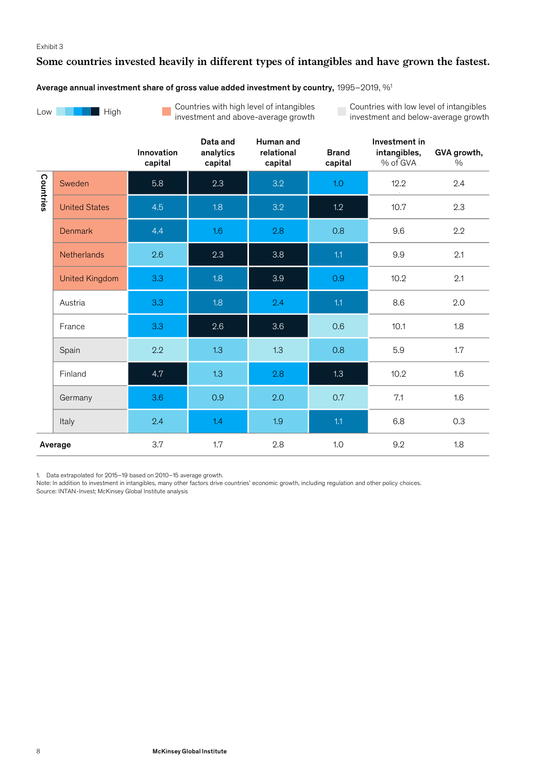# **Some countries invested heavily in different types of intangibles and have grown the fastest.**

#### Average annual investment share of gross value added investment by country, 1995–2019, %1



Countries with high level of intangibles  $\mathbb{R}^n$ investment and above-average growth

Countries with low level of intangibles investment and below-average growth

|           |                       | Innovation<br>capital | Data and<br>analytics<br>capital | Human and<br>relational<br>capital | <b>Brand</b><br>capital | Investment in<br>intangibles,<br>% of GVA. | GVA growth,<br>$\%$ |  |
|-----------|-----------------------|-----------------------|----------------------------------|------------------------------------|-------------------------|--------------------------------------------|---------------------|--|
| Countries | Sweden                | 5.8                   | 2.3                              | 3.2                                | 1.0                     | 12.2                                       | 2.4                 |  |
|           | <b>United States</b>  | 4.5                   | 1.8                              | 3.2                                | 1.2                     | 10.7                                       | 2.3                 |  |
|           | <b>Denmark</b>        | 4.4                   | 1.6                              | 2.8                                | 0.8                     | 9.6                                        | 2.2                 |  |
|           | <b>Netherlands</b>    | 2.6                   | 2.3                              | 3.8                                | 1.1                     | 9.9                                        | 2.1                 |  |
|           | <b>United Kingdom</b> | 3.3 <sub>2</sub>      | 1.8                              | 3.9                                | 0.9<br>10.2             |                                            | 2.1                 |  |
|           | Austria               | 3.3                   | 1.8                              | 2.4                                | 1.1<br>8.6              |                                            | 2.0                 |  |
|           | France                | 3.3 <sub>2</sub>      | 2.6                              | 3.6                                | 0.6                     | 10.1                                       | 1.8                 |  |
|           | Spain                 | 2.2                   | 1.3                              | 1.3                                | 0.8                     | 5.9                                        | 1.7                 |  |
|           | Finland               | 4.7                   | 1.3                              | 2.8                                | 1.3                     | 10.2                                       | 1.6                 |  |
|           | Germany               | 3.6                   | 0.9                              | 2.0                                | 0.7                     | 7.1                                        | 1.6                 |  |
|           | Italy                 | 2.4                   | 1.4                              | 1.9                                | 1.1                     | 6.8                                        | 0.3                 |  |
|           | Average               | 3.7                   | 1.7                              | 2.8                                | 1.0                     | 9.2                                        | 1.8                 |  |

1. Data extrapolated for 2015–19 based on 2010–15 average growth.

Source: INTAN-Invest; McKinsey Global Institute analysis Note: In addition to investment in intangibles, many other factors drive countries' economic growth, including regulation and other policy choices.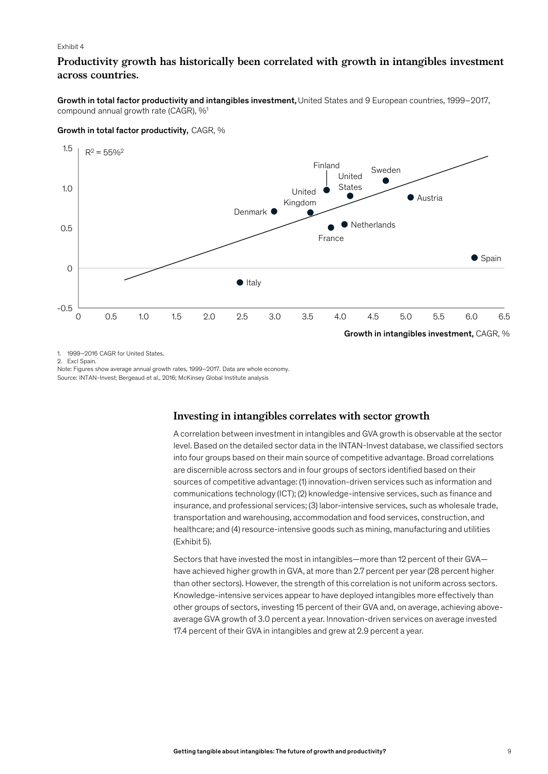# **Productivity growth has historically been correlated with growth in intangibles investment across countries.**

Growth in total factor productivity and intangibles investment, United States and 9 European countries, 1999–2017, compound annual growth rate (CAGR), %1

#### Growth in total factor productivity, CAGR, %



1. 1999–2016 CAGR for United States.

2. Excl Spain.

Source: INTAN-Invest; Bergeaud et al., 2016; McKinsey Global Institute analysis Note: Figures show average annual growth rates, 1999–2017. Data are whole economy.

#### **Investing in intangibles correlates with sector growth**

A correlation between investment in intangibles and GVA growth is observable at the sector level. Based on the detailed sector data in the INTAN-Invest database, we classified sectors into four groups based on their main source of competitive advantage. Broad correlations are discernible across sectors and in four groups of sectors identified based on their sources of competitive advantage: (1) innovation-driven services such as information and communications technology (ICT); (2) knowledge-intensive services, such as finance and insurance, and professional services; (3) labor-intensive services, such as wholesale trade, transportation and warehousing, accommodation and food services, construction, and healthcare; and (4) resource-intensive goods such as mining, manufacturing and utilities (Exhibit 5).

Sectors that have invested the most in intangibles—more than 12 percent of their GVA have achieved higher growth in GVA, at more than 2.7 percent per year (28 percent higher than other sectors). However, the strength of this correlation is not uniform across sectors. Knowledge-intensive services appear to have deployed intangibles more effectively than other groups of sectors, investing 15 percent of their GVA and, on average, achieving aboveaverage GVA growth of 3.0 percent a year. Innovation-driven services on average invested 17.4 percent of their GVA in intangibles and grew at 2.9 percent a year.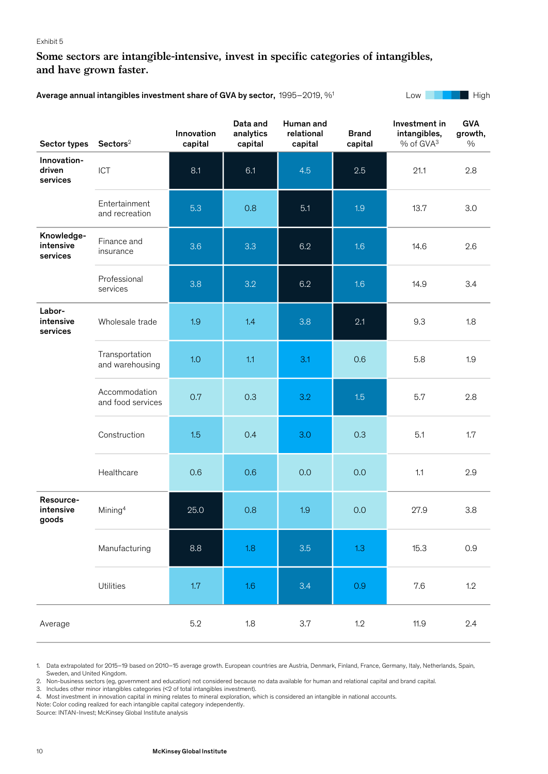# **Some sectors are intangible-intensive, invest in specific categories of intangibles, and have grown faster.**

Average annual intangibles investment share of GVA by sector, 1995–2019, %<sup>1</sup> Low Low Low High High

| Sector types                        | $\textsf{Sectors}^2$               | Innovation<br>capital | Data and<br>analytics<br>capital | Human and<br>relational<br>capital | <b>Brand</b><br>capital | Investment in<br>intangibles,<br>% of GVA <sup>3</sup> | <b>GVA</b><br>growth,<br>$\%$ |
|-------------------------------------|------------------------------------|-----------------------|----------------------------------|------------------------------------|-------------------------|--------------------------------------------------------|-------------------------------|
| Innovation-<br>driven<br>services   | ICT                                | 8.1                   | 6.1                              | 4.5                                | 2.5                     | 21.1                                                   | 2.8                           |
|                                     | Entertainment<br>and recreation    | 5.3                   | 0.8                              | 5.1                                | 1.9                     | 13.7                                                   | 3.0                           |
| Knowledge-<br>intensive<br>services | Finance and<br>insurance           | 3.6                   | 3.3                              | 6.2                                | 1.6                     | 14.6                                                   | 2.6                           |
|                                     | Professional<br>services           | 3.8                   | 3.2                              | 6.2                                | 1.6                     | 14.9                                                   | 3.4                           |
| Labor-<br>intensive<br>services     | Wholesale trade                    | 1.9                   | 1.4                              | 3.8                                | 2.1                     | 9.3                                                    | 1.8                           |
|                                     | Transportation<br>and warehousing  | 1.0                   | 1.1                              | 3.1                                | 0.6                     | 5.8                                                    | 1.9                           |
|                                     | Accommodation<br>and food services | 0.7                   | 0.3                              | 3.2                                | 1.5                     | 5.7                                                    | 2.8                           |
|                                     | Construction                       | 1.5                   | 0.4                              | 3.0                                | 0.3                     | 5.1                                                    | 1.7                           |
|                                     | Healthcare                         | 0.6                   | 0.6                              | 0.0                                | 0.0                     | 1.1                                                    | 2.9                           |
| Resource-<br>intensive<br>goods     | Mining <sup>4</sup>                | 25.0                  | 0.8                              | 1.9                                | 0.0                     | 27.9                                                   | 3.8                           |
|                                     | Manufacturing                      | 8.8                   | 1.8                              | 3.5                                | 1.3                     | 15.3                                                   | 0.9                           |
|                                     | Utilities                          | 1.7                   | $1.6\,$                          | 3.4                                | 0.9                     | 7.6                                                    | 1.2                           |
| Average                             |                                    | 5.2                   | $1.8\,$                          | 3.7                                | 1.2                     | 11.9                                                   | 2.4                           |

1. Data extrapolated for 2015–19 based on 2010–15 average growth. European countries are Austria, Denmark, Finland, France, Germany, Italy, Netherlands, Spain, Sweden, and United Kingdom.

2. Non-business sectors (eg, government and education) not considered because no data available for human and relational capital and brand capital.

3. Includes other minor intangibles categories (<2 of total intangibles investment).

4. Most investment in innovation capital in mining relates to mineral exploration, which is considered an intangible in national accounts.

Note: Color coding realized for each intangible capital category independently.

Source: INTAN-Invest; McKinsey Global Institute analysis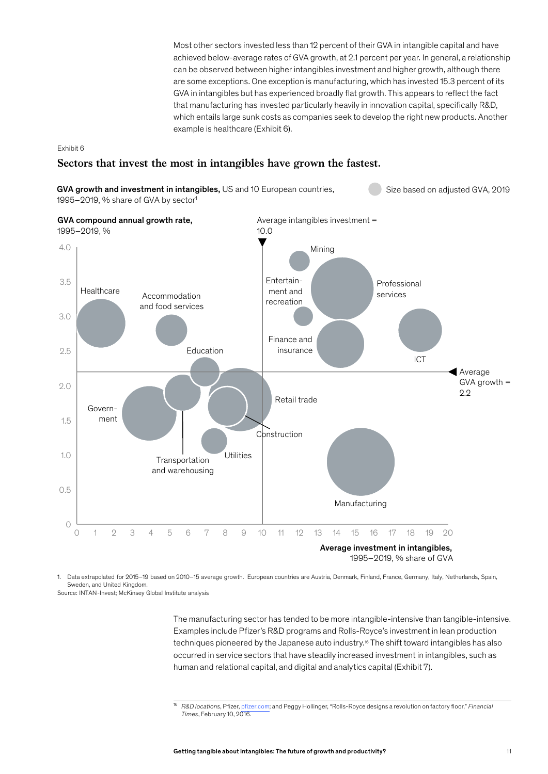Most other sectors invested less than 12 percent of their GVA in intangible capital and have achieved below-average rates of GVA growth, at 2.1 percent per year. In general, a relationship can be observed between higher intangibles investment and higher growth, although there are some exceptions. One exception is manufacturing, which has invested 15.3 percent of its GVA in intangibles but has experienced broadly flat growth. This appears to reflect the fact that manufacturing has invested particularly heavily in innovation capital, specifically R&D, which entails large sunk costs as companies seek to develop the right new products. Another example is healthcare (Exhibit 6).

#### Exhibit 6

#### **Sectors that invest the most in intangibles have grown the fastest.**



1. Data extrapolated for 2015–19 based on 2010–15 average growth. European countries are Austria, Denmark, Finland, France, Germany, Italy, Netherlands, Spain, Sweden, and United Kingdom.

Source: INTAN-Invest; McKinsey Global Institute analysis

The manufacturing sector has tended to be more intangible-intensive than tangible-intensive. Examples include Pfizer's R&D programs and Rolls-Royce's investment in lean production techniques pioneered by the Japanese auto industry.16 The shift toward intangibles has also occurred in service sectors that have steadily increased investment in intangibles, such as human and relational capital, and digital and analytics capital (Exhibit 7).

<sup>16</sup> *R&D locations*, Pfizer, [pfizer.com;](https://www.pfizer.com/science/research-development/centers) and Peggy Hollinger, "Rolls-Royce designs a revolution on factory floor," *Financial Times*, February 10, 2016.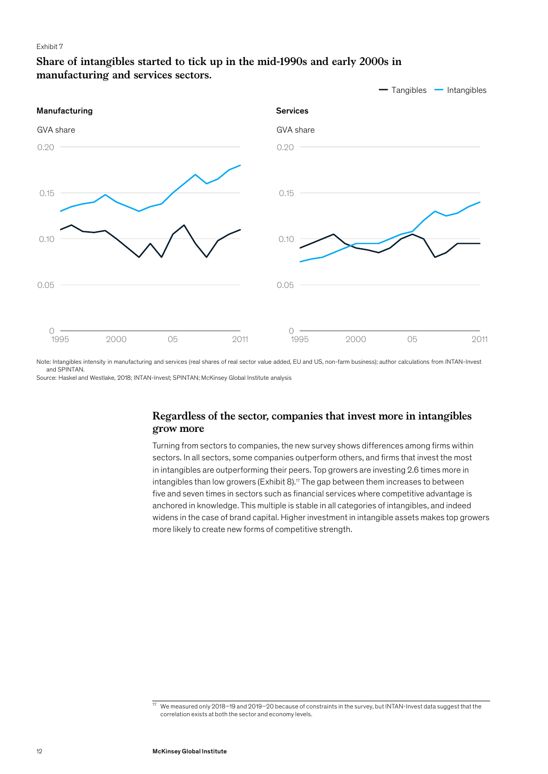# **Share of intangibles started to tick up in the mid-1990s and early 2000s in manufacturing and services sectors.**



Note: Intangibles intensity in manufacturing and services (real shares of real sector value added, EU and US, non-farm business); author calculations from INTAN-Invest and SPINTAN.

Source: Haskel and Westlake, 2018; INTAN-Invest; SPINTAN; McKinsey Global Institute analysis

# **Regardless of the sector, companies that invest more in intangibles grow more**

Turning from sectors to companies, the new survey shows differences among firms within sectors. In all sectors, some companies outperform others, and firms that invest the most in intangibles are outperforming their peers. Top growers are investing 2.6 times more in intangibles than low growers (Exhibit 8).<sup> $n$ </sup> The gap between them increases to between five and seven times in sectors such as financial services where competitive advantage is anchored in knowledge. This multiple is stable in all categories of intangibles, and indeed widens in the case of brand capital. Higher investment in intangible assets makes top growers more likely to create new forms of competitive strength.

 $\frac{17}{17}$  We measured only 2018–19 and 2019–20 because of constraints in the survey, but INTAN-Invest data suggest that the correlation exists at both the sector and economy levels.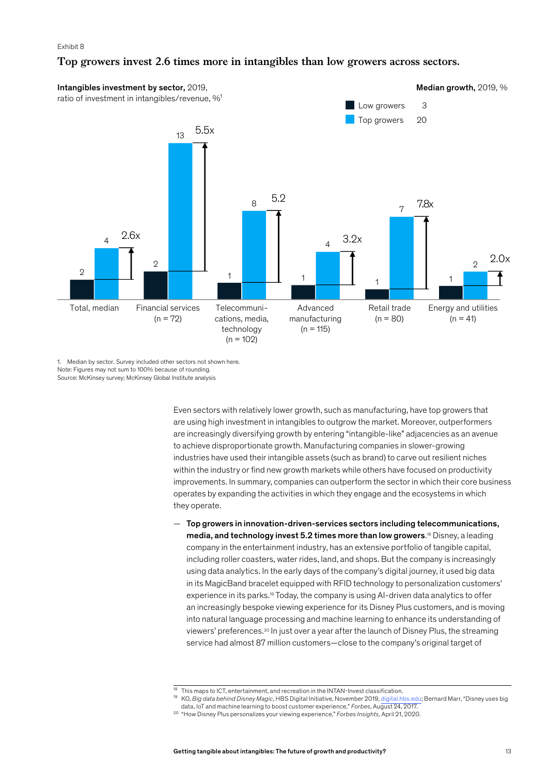# **Top growers invest 2.6 times more in intangibles than low growers across sectors.**



Source: McKinsey survey; McKinsey Global Institute analysis 1. Median by sector. Survey included other sectors not shown here. Note: Figures may not sum to 100% because of rounding.

> Even sectors with relatively lower growth, such as manufacturing, have top growers that are using high investment in intangibles to outgrow the market. Moreover, outperformers are increasingly diversifying growth by entering "intangible-like" adjacencies as an avenue to achieve disproportionate growth. Manufacturing companies in slower-growing industries have used their intangible assets (such as brand) to carve out resilient niches within the industry or find new growth markets while others have focused on productivity improvements. In summary, companies can outperform the sector in which their core business operates by expanding the activities in which they engage and the ecosystems in which they operate.

— Top growers in innovation-driven-services sectors including telecommunications, media, and technology invest 5.2 times more than low growers.<sup>18</sup> Disney, a leading company in the entertainment industry, has an extensive portfolio of tangible capital, including roller coasters, water rides, land, and shops. But the company is increasingly using data analytics. In the early days of the company's digital journey, it used big data in its MagicBand bracelet equipped with RFID technology to personalization customers' experience in its parks.19 Today, the company is using AI-driven data analytics to offer an increasingly bespoke viewing experience for its Disney Plus customers, and is moving into natural language processing and machine learning to enhance its understanding of viewers' preferences.20 In just over a year after the launch of Disney Plus, the streaming service had almost 87 million customers—close to the company's original target of

<sup>&</sup>lt;sup>18</sup> This maps to ICT, entertainment, and recreation in the INTAN-Invest classification.

<sup>19</sup> KO, *Big data behind Disney Magic*, HBS Digital Initiative, November 2019, [digital.hbs.edu](http://digital.hbs.edu/platform-digit/submission/big-data-behind-disney-magic/); Bernard Marr, "Disney uses big data, IoT and machine learning to boost customer experience," *Forbes*, August 24, 2017.

<sup>20</sup> "How Disney Plus personalizes your viewing experience," *Forbes Insights*, April 21, 2020.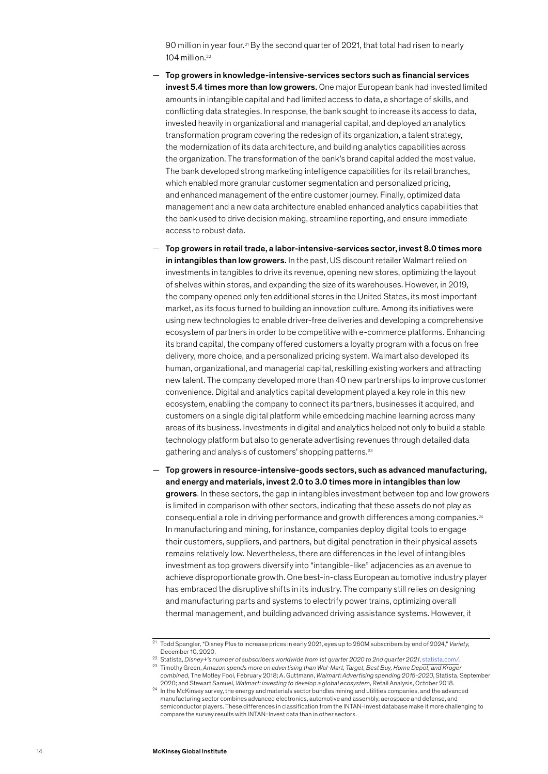90 million in year four.<sup>21</sup> By the second quarter of 2021, that total had risen to nearly 104 million.22

- Top growers in knowledge-intensive-services sectors such as financial services invest 5.4 times more than low growers. One major European bank had invested limited amounts in intangible capital and had limited access to data, a shortage of skills, and conflicting data strategies. In response, the bank sought to increase its access to data, invested heavily in organizational and managerial capital, and deployed an analytics transformation program covering the redesign of its organization, a talent strategy, the modernization of its data architecture, and building analytics capabilities across the organization. The transformation of the bank's brand capital added the most value. The bank developed strong marketing intelligence capabilities for its retail branches, which enabled more granular customer segmentation and personalized pricing, and enhanced management of the entire customer journey. Finally, optimized data management and a new data architecture enabled enhanced analytics capabilities that the bank used to drive decision making, streamline reporting, and ensure immediate access to robust data.
- Top growers in retail trade, a labor-intensive-services sector, invest 8.0 times more in intangibles than low growers. In the past, US discount retailer Walmart relied on investments in tangibles to drive its revenue, opening new stores, optimizing the layout of shelves within stores, and expanding the size of its warehouses. However, in 2019, the company opened only ten additional stores in the United States, its most important market, as its focus turned to building an innovation culture. Among its initiatives were using new technologies to enable driver-free deliveries and developing a comprehensive ecosystem of partners in order to be competitive with e-commerce platforms. Enhancing its brand capital, the company offered customers a loyalty program with a focus on free delivery, more choice, and a personalized pricing system. Walmart also developed its human, organizational, and managerial capital, reskilling existing workers and attracting new talent. The company developed more than 40 new partnerships to improve customer convenience. Digital and analytics capital development played a key role in this new ecosystem, enabling the company to connect its partners, businesses it acquired, and customers on a single digital platform while embedding machine learning across many areas of its business. Investments in digital and analytics helped not only to build a stable technology platform but also to generate advertising revenues through detailed data gathering and analysis of customers' shopping patterns.23
- Top growers in resource-intensive-goods sectors, such as advanced manufacturing, and energy and materials, invest 2.0 to 3.0 times more in intangibles than low growers. In these sectors, the gap in intangibles investment between top and low growers is limited in comparison with other sectors, indicating that these assets do not play as consequential a role in driving performance and growth differences among companies.24 In manufacturing and mining, for instance, companies deploy digital tools to engage their customers, suppliers, and partners, but digital penetration in their physical assets remains relatively low. Nevertheless, there are differences in the level of intangibles investment as top growers diversify into "intangible-like" adjacencies as an avenue to achieve disproportionate growth. One best-in-class European automotive industry player has embraced the disruptive shifts in its industry. The company still relies on designing and manufacturing parts and systems to electrify power trains, optimizing overall thermal management, and building advanced driving assistance systems. However, it

<sup>21</sup> Todd Spangler, "Disney Plus to increase prices in early 2021, eyes up to 260M subscribers by end of 2024," *Variety*, December 10, 2020.

<sup>22</sup> Statista, *Disney+'s number of subscribers worldwide from 1st quarter 2020 to 2nd quarter 2021*, [statista.com/](http://statista.com/statistics/1095372/disney-plus-number-of-subscribers-us/). <sup>23</sup> Timothy Green, Amazon spends more on advertising than Wal-Mart, Target, Best Buy, Home Depot, and Kroger *combined*, The Motley Fool, February 2018; A. Guttmann, *Walmart: Advertising spending 2015-2020*, Statista, September

<sup>2020;</sup> and Stewart Samuel, *Walmart: investing to develop a global ecosystem*, Retail Analysis, October 2018. <sup>24</sup> In the McKinsey survey, the energy and materials sector bundles mining and utilities companies, and the advanced manufacturing sector combines advanced electronics, automotive and assembly, aerospace and defense, and semiconductor players. These differences in classification from the INTAN-Invest database make it more challenging to compare the survey results with INTAN-Invest data than in other sectors.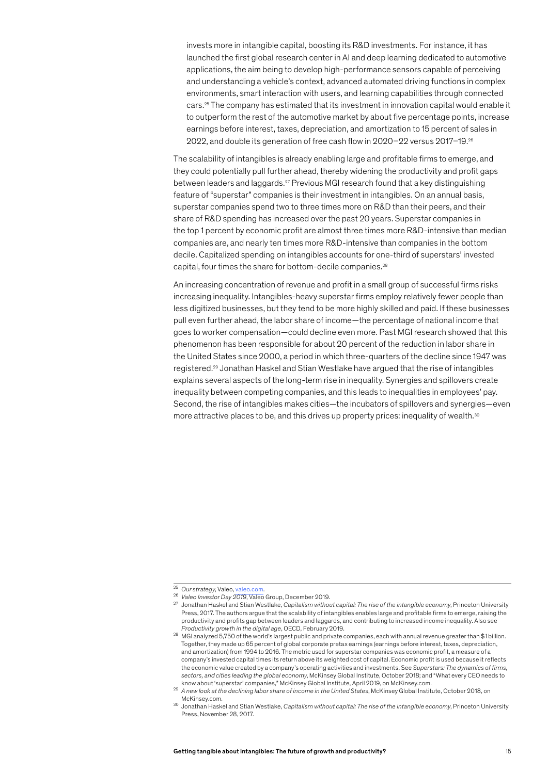invests more in intangible capital, boosting its R&D investments. For instance, it has launched the first global research center in AI and deep learning dedicated to automotive applications, the aim being to develop high-performance sensors capable of perceiving and understanding a vehicle's context, advanced automated driving functions in complex environments, smart interaction with users, and learning capabilities through connected cars.25 The company has estimated that its investment in innovation capital would enable it to outperform the rest of the automotive market by about five percentage points, increase earnings before interest, taxes, depreciation, and amortization to 15 percent of sales in 2022, and double its generation of free cash flow in 2020–22 versus 2017–19.26

The scalability of intangibles is already enabling large and profitable firms to emerge, and they could potentially pull further ahead, thereby widening the productivity and profit gaps between leaders and laggards.27 Previous MGI research found that a key distinguishing feature of "superstar" companies is their investment in intangibles. On an annual basis, superstar companies spend two to three times more on R&D than their peers, and their share of R&D spending has increased over the past 20 years. Superstar companies in the top 1 percent by economic profit are almost three times more R&D-intensive than median companies are, and nearly ten times more R&D-intensive than companies in the bottom decile. Capitalized spending on intangibles accounts for one-third of superstars' invested capital, four times the share for bottom-decile companies.28

An increasing concentration of revenue and profit in a small group of successful firms risks increasing inequality. Intangibles-heavy superstar firms employ relatively fewer people than less digitized businesses, but they tend to be more highly skilled and paid. If these businesses pull even further ahead, the labor share of income—the percentage of national income that goes to worker compensation—could decline even more. Past MGI research showed that this phenomenon has been responsible for about 20 percent of the reduction in labor share in the United States since 2000, a period in which three-quarters of the decline since 1947 was registered.29 Jonathan Haskel and Stian Westlake have argued that the rise of intangibles explains several aspects of the long-term rise in inequality. Synergies and spillovers create inequality between competing companies, and this leads to inequalities in employees' pay. Second, the rise of intangibles makes cities—the incubators of spillovers and synergies—even more attractive places to be, and this drives up property prices: inequality of wealth.<sup>30</sup>

<sup>25</sup> *Our strategy*, Valeo, [valeo.com](http://valeo.com/en/our-strategy/).

<sup>26</sup> *Valeo Investor Day 2019*, Valeo Group, December 2019.

<sup>27</sup> Jonathan Haskel and Stian Westlake, *Capitalism without capital: The rise of the intangible economy*, Princeton University Press, 2017. The authors argue that the scalability of intangibles enables large and profitable firms to emerge, raising the productivity and profits gap between leaders and laggards, and contributing to increased income inequality. Also see *Productivity growth in the digital age*, OECD, February 2019.

<sup>28</sup> MGI analyzed 5,750 of the world's largest public and private companies, each with annual revenue greater than \$1 billion. Together, they made up 65 percent of global corporate pretax earnings (earnings before interest, taxes, depreciation, and amortization) from 1994 to 2016. The metric used for superstar companies was economic profit, a measure of a company's invested capital times its return above its weighted cost of capital. Economic profit is used because it reflects the economic value created by a company's operating activities and investments. See *Superstars: The dynamics of firms, sectors, and cities leading the global economy*, McKinsey Global Institute, October 2018; and "What every CEO needs to know about 'superstar' companies," McKinsey Global Institute, April 2019, on McKinsey.com.

<sup>29</sup> *A new look at the declining labor share of income in the United States*, McKinsey Global Institute, October 2018, on McKinsey.com.

<sup>30</sup> Jonathan Haskel and Stian Westlake, *Capitalism without capital: The rise of the intangible economy*, Princeton University Press, November 28, 2017.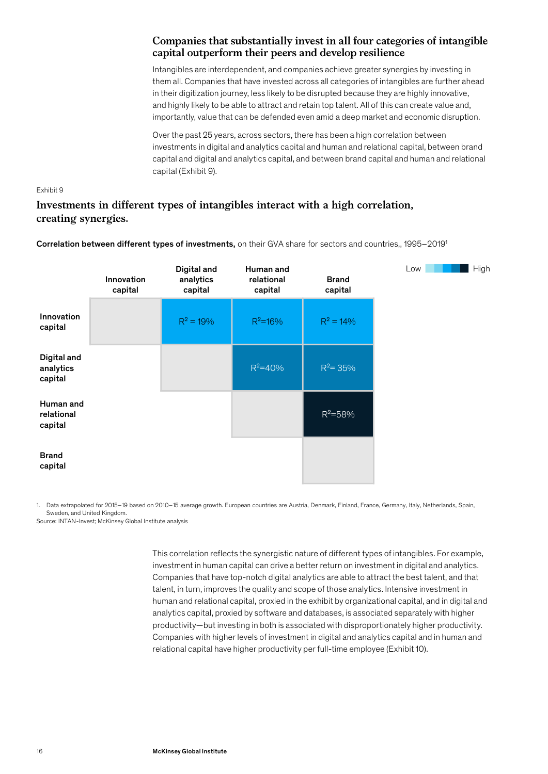# **Companies that substantially invest in all four categories of intangible capital outperform their peers and develop resilience**

Intangibles are interdependent, and companies achieve greater synergies by investing in them all. Companies that have invested across all categories of intangibles are further ahead in their digitization journey, less likely to be disrupted because they are highly innovative, and highly likely to be able to attract and retain top talent. All of this can create value and, importantly, value that can be defended even amid a deep market and economic disruption.

Over the past 25 years, across sectors, there has been a high correlation between investments in digital and analytics capital and human and relational capital, between brand capital and digital and analytics capital, and between brand capital and human and relational capital (Exhibit 9).

#### Exhibit 9

# **Investments in different types of intangibles interact with a high correlation, creating synergies.**

Correlation between different types of investments, on their GVA share for sectors and countries,, 1995–20191

|                                     | Innovation<br>capital | Digital and<br>analytics<br>capital | Human and<br>relational<br>capital | <b>Brand</b><br>capital | Low | High |
|-------------------------------------|-----------------------|-------------------------------------|------------------------------------|-------------------------|-----|------|
| Innovation<br>capital               |                       | $R^2 = 19%$                         | $R^2 = 16%$                        | $R^2 = 14\%$            |     |      |
| Digital and<br>analytics<br>capital |                       |                                     | $R^2 = 40%$                        | $R^2 = 35%$             |     |      |
| Human and<br>relational<br>capital  |                       |                                     |                                    | $R^2 = 58%$             |     |      |
| <b>Brand</b><br>capital             |                       |                                     |                                    |                         |     |      |

Source: INTAN-Invest; McKinsey Global Institute analysis 1. Data extrapolated for 2015–19 based on 2010–15 average growth. European countries are Austria, Denmark, Finland, France, Germany, Italy, Netherlands, Spain, Sweden, and United Kingdom.

> This correlation reflects the synergistic nature of different types of intangibles. For example, investment in human capital can drive a better return on investment in digital and analytics. Companies that have top-notch digital analytics are able to attract the best talent, and that talent, in turn, improves the quality and scope of those analytics. Intensive investment in human and relational capital, proxied in the exhibit by organizational capital, and in digital and analytics capital, proxied by software and databases, is associated separately with higher productivity—but investing in both is associated with disproportionately higher productivity. Companies with higher levels of investment in digital and analytics capital and in human and relational capital have higher productivity per full-time employee (Exhibit 10).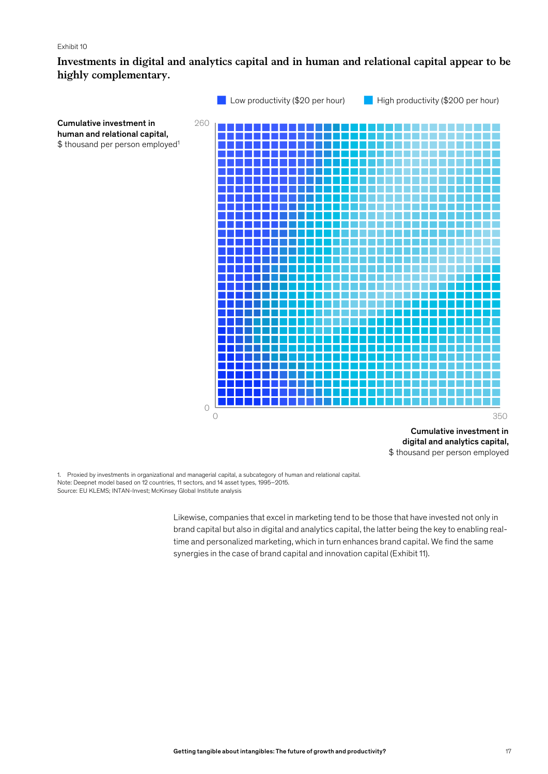# **Investments in digital and analytics capital and in human and relational capital appear to be highly complementary.**



\$ thousand per person employed

Source: EU KLEMS; INTAN-Invest; McKinsey Global Institute analysis 1. Proxied by investments in organizational and managerial capital, a subcategory of human and relational capital. Note: Deepnet model based on 12 countries, 11 sectors, and 14 asset types, 1995–2015.

> Likewise, companies that excel in marketing tend to be those that have invested not only in brand capital but also in digital and analytics capital, the latter being the key to enabling realtime and personalized marketing, which in turn enhances brand capital. We find the same synergies in the case of brand capital and innovation capital (Exhibit 11).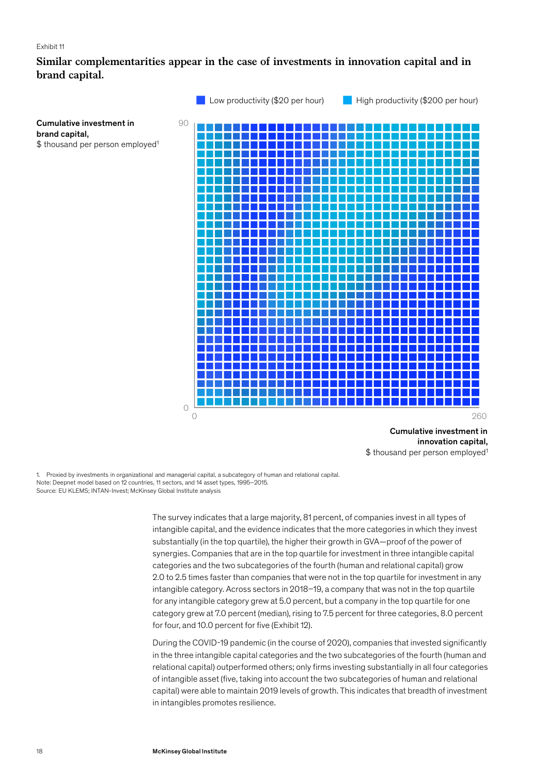# **Similar complementarities appear in the case of investments in innovation capital and in brand capital.**



innovation capital, \$ thousand per person employed<sup>1</sup>

Source: EU KLEMS; INTAN-Invest; McKinsey Global Institute analysis 1. Proxied by investments in organizational and managerial capital, a subcategory of human and relational capital. Note: Deepnet model based on 12 countries, 11 sectors, and 14 asset types, 1995–2015.

> The survey indicates that a large majority, 81 percent, of companies invest in all types of intangible capital, and the evidence indicates that the more categories in which they invest substantially (in the top quartile), the higher their growth in GVA—proof of the power of synergies. Companies that are in the top quartile for investment in three intangible capital categories and the two subcategories of the fourth (human and relational capital) grow 2.0 to 2.5 times faster than companies that were not in the top quartile for investment in any intangible category. Across sectors in 2018–19, a company that was not in the top quartile for any intangible category grew at 5.0 percent, but a company in the top quartile for one category grew at 7.0 percent (median), rising to 7.5 percent for three categories, 8.0 percent for four, and 10.0 percent for five (Exhibit 12).

During the COVID‑19 pandemic (in the course of 2020), companies that invested significantly in the three intangible capital categories and the two subcategories of the fourth (human and relational capital) outperformed others; only firms investing substantially in all four categories of intangible asset (five, taking into account the two subcategories of human and relational capital) were able to maintain 2019 levels of growth. This indicates that breadth of investment in intangibles promotes resilience.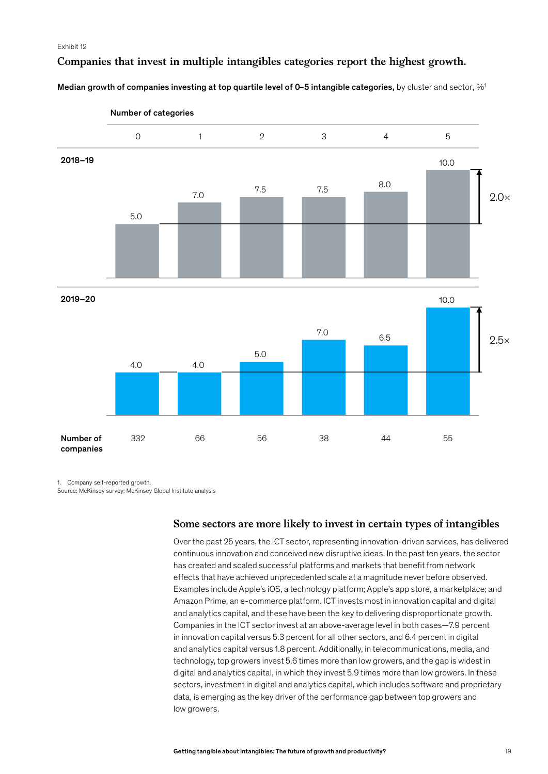### **Companies that invest in multiple intangibles categories report the highest growth.**

Median growth of companies investing at top quartile level of 0–5 intangible categories, by cluster and sector,  $\%$ <sup>1</sup>



1. Company self-reported growth.

Source: McKinsey survey; McKinsey Global Institute analysis

#### **Some sectors are more likely to invest in certain types of intangibles**

Over the past 25 years, the ICT sector, representing innovation-driven services, has delivered continuous innovation and conceived new disruptive ideas. In the past ten years, the sector has created and scaled successful platforms and markets that benefit from network effects that have achieved unprecedented scale at a magnitude never before observed. Examples include Apple's iOS, a technology platform; Apple's app store, a marketplace; and Amazon Prime, an e-commerce platform. ICT invests most in innovation capital and digital and analytics capital, and these have been the key to delivering disproportionate growth. Companies in the ICT sector invest at an above-average level in both cases—7.9 percent in innovation capital versus 5.3 percent for all other sectors, and 6.4 percent in digital and analytics capital versus 1.8 percent. Additionally, in telecommunications, media, and technology, top growers invest 5.6 times more than low growers, and the gap is widest in digital and analytics capital, in which they invest 5.9 times more than low growers. In these sectors, investment in digital and analytics capital, which includes software and proprietary data, is emerging as the key driver of the performance gap between top growers and low growers.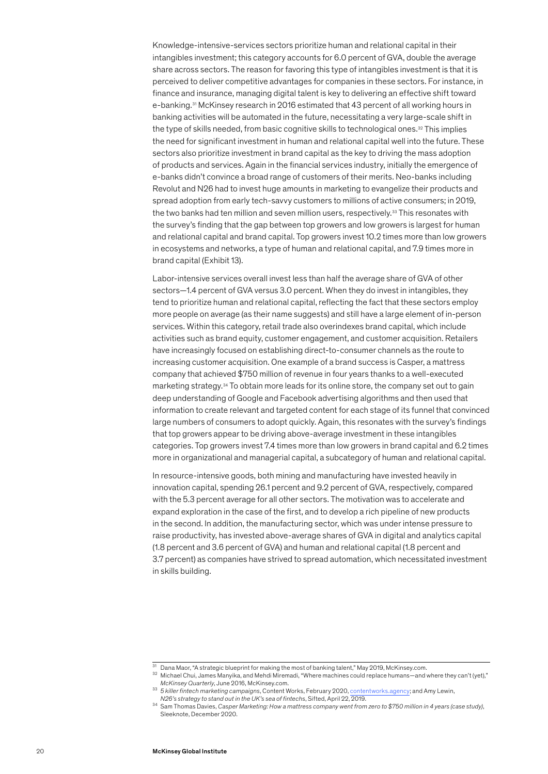Knowledge-intensive-services sectors prioritize human and relational capital in their intangibles investment; this category accounts for 6.0 percent of GVA, double the average share across sectors. The reason for favoring this type of intangibles investment is that it is perceived to deliver competitive advantages for companies in these sectors. For instance, in finance and insurance, managing digital talent is key to delivering an effective shift toward e-banking.31 McKinsey research in 2016 estimated that 43 percent of all working hours in banking activities will be automated in the future, necessitating a very large-scale shift in the type of skills needed, from basic cognitive skills to technological ones.<sup>32</sup> This implies the need for significant investment in human and relational capital well into the future. These sectors also prioritize investment in brand capital as the key to driving the mass adoption of products and services. Again in the financial services industry, initially the emergence of e-banks didn't convince a broad range of customers of their merits. Neo-banks including Revolut and N26 had to invest huge amounts in marketing to evangelize their products and spread adoption from early tech-savvy customers to millions of active consumers; in 2019, the two banks had ten million and seven million users, respectively.<sup>33</sup> This resonates with the survey's finding that the gap between top growers and low growers is largest for human and relational capital and brand capital. Top growers invest 10.2 times more than low growers in ecosystems and networks, a type of human and relational capital, and 7.9 times more in brand capital (Exhibit 13).

Labor-intensive services overall invest less than half the average share of GVA of other sectors—1.4 percent of GVA versus 3.0 percent. When they do invest in intangibles, they tend to prioritize human and relational capital, reflecting the fact that these sectors employ more people on average (as their name suggests) and still have a large element of in-person services. Within this category, retail trade also overindexes brand capital, which include activities such as brand equity, customer engagement, and customer acquisition. Retailers have increasingly focused on establishing direct-to-consumer channels as the route to increasing customer acquisition. One example of a brand success is Casper, a mattress company that achieved \$750 million of revenue in four years thanks to a well-executed marketing strategy.34 To obtain more leads for its online store, the company set out to gain deep understanding of Google and Facebook advertising algorithms and then used that information to create relevant and targeted content for each stage of its funnel that convinced large numbers of consumers to adopt quickly. Again, this resonates with the survey's findings that top growers appear to be driving above-average investment in these intangibles categories. Top growers invest 7.4 times more than low growers in brand capital and 6.2 times more in organizational and managerial capital, a subcategory of human and relational capital.

In resource-intensive goods, both mining and manufacturing have invested heavily in innovation capital, spending 26.1 percent and 9.2 percent of GVA, respectively, compared with the 5.3 percent average for all other sectors. The motivation was to accelerate and expand exploration in the case of the first, and to develop a rich pipeline of new products in the second. In addition, the manufacturing sector, which was under intense pressure to raise productivity, has invested above-average shares of GVA in digital and analytics capital (1.8 percent and 3.6 percent of GVA) and human and relational capital (1.8 percent and 3.7 percent) as companies have strived to spread automation, which necessitated investment in skills building.

 $\frac{31}{31}$  Dana Maor, "A strategic blueprint for making the most of banking talent," May 2019, McKinsey.com.<br>32 Michael Chui, James Manyika, and Mehdi Miremadi, "Where machines could replace humans—and where they can't (

*McKinsey Theorhy, Ackinsey Auguarter Suller fintech marketing campaigns*, Content Works, February 2020, [contentworks.agency](https://contentworks.agency/5-killer-fintech-marketing-campaigns/); and Amy Lewin,<br>N26's strategy to stand out in the UK's sea of fintechs, Sifted, April 22, 2019.

<sup>&</sup>lt;sup>34</sup> Sam Thomas Davies, Casper Marketing: How a mattress company went from zero to \$750 million in 4 years (case study), Sleeknote, December 2020.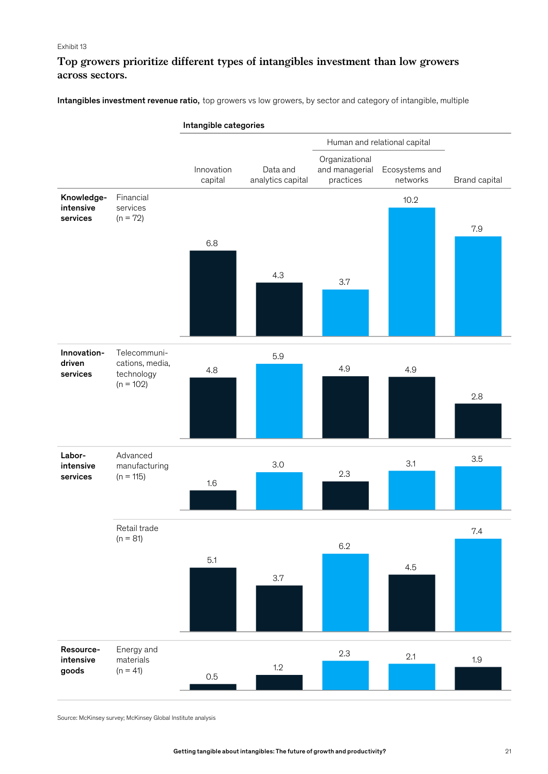# **Top growers prioritize different types of intangibles investment than low growers across sectors.**

Intangibles investment revenue ratio, top growers vs low growers, by sector and category of intangible, multiple



Source: McKinsey survey; McKinsey Global Institute analysis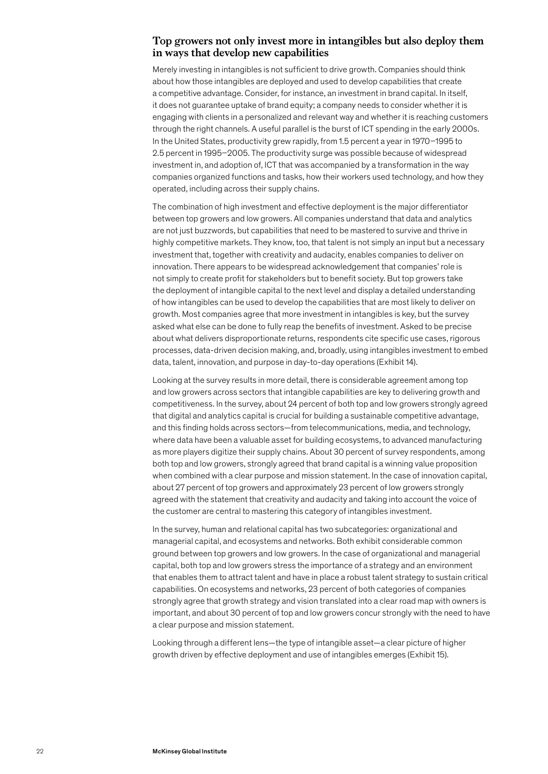### **Top growers not only invest more in intangibles but also deploy them in ways that develop new capabilities**

Merely investing in intangibles is not sufficient to drive growth. Companies should think about how those intangibles are deployed and used to develop capabilities that create a competitive advantage. Consider, for instance, an investment in brand capital. In itself, it does not guarantee uptake of brand equity; a company needs to consider whether it is engaging with clients in a personalized and relevant way and whether it is reaching customers through the right channels. A useful parallel is the burst of ICT spending in the early 2000s. In the United States, productivity grew rapidly, from 1.5 percent a year in 1970–1995 to 2.5 percent in 1995–2005. The productivity surge was possible because of widespread investment in, and adoption of, ICT that was accompanied by a transformation in the way companies organized functions and tasks, how their workers used technology, and how they operated, including across their supply chains.

The combination of high investment and effective deployment is the major differentiator between top growers and low growers. All companies understand that data and analytics are not just buzzwords, but capabilities that need to be mastered to survive and thrive in highly competitive markets. They know, too, that talent is not simply an input but a necessary investment that, together with creativity and audacity, enables companies to deliver on innovation. There appears to be widespread acknowledgement that companies' role is not simply to create profit for stakeholders but to benefit society. But top growers take the deployment of intangible capital to the next level and display a detailed understanding of how intangibles can be used to develop the capabilities that are most likely to deliver on growth. Most companies agree that more investment in intangibles is key, but the survey asked what else can be done to fully reap the benefits of investment. Asked to be precise about what delivers disproportionate returns, respondents cite specific use cases, rigorous processes, data-driven decision making, and, broadly, using intangibles investment to embed data, talent, innovation, and purpose in day-to-day operations (Exhibit 14).

Looking at the survey results in more detail, there is considerable agreement among top and low growers across sectors that intangible capabilities are key to delivering growth and competitiveness. In the survey, about 24 percent of both top and low growers strongly agreed that digital and analytics capital is crucial for building a sustainable competitive advantage, and this finding holds across sectors—from telecommunications, media, and technology, where data have been a valuable asset for building ecosystems, to advanced manufacturing as more players digitize their supply chains. About 30 percent of survey respondents, among both top and low growers, strongly agreed that brand capital is a winning value proposition when combined with a clear purpose and mission statement. In the case of innovation capital, about 27 percent of top growers and approximately 23 percent of low growers strongly agreed with the statement that creativity and audacity and taking into account the voice of the customer are central to mastering this category of intangibles investment.

In the survey, human and relational capital has two subcategories: organizational and managerial capital, and ecosystems and networks. Both exhibit considerable common ground between top growers and low growers. In the case of organizational and managerial capital, both top and low growers stress the importance of a strategy and an environment that enables them to attract talent and have in place a robust talent strategy to sustain critical capabilities. On ecosystems and networks, 23 percent of both categories of companies strongly agree that growth strategy and vision translated into a clear road map with owners is important, and about 30 percent of top and low growers concur strongly with the need to have a clear purpose and mission statement.

Looking through a different lens—the type of intangible asset—a clear picture of higher growth driven by effective deployment and use of intangibles emerges (Exhibit 15).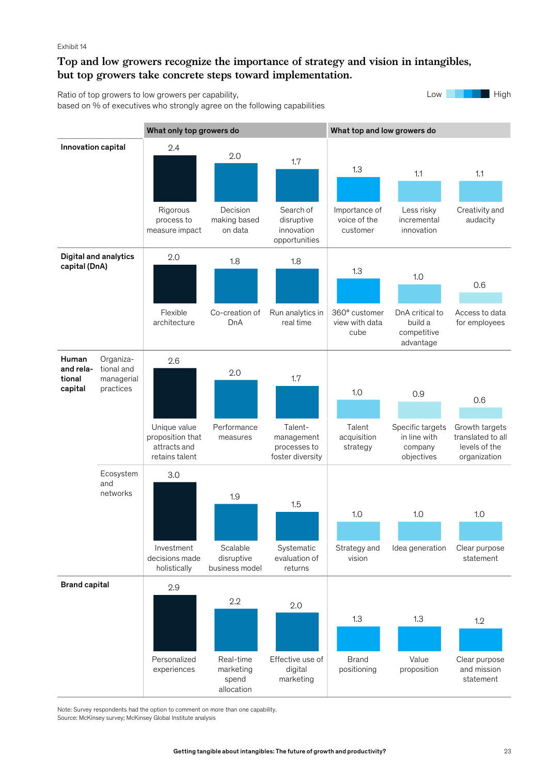# **Top and low growers recognize the importance of strategy and vision in intangibles, but top growers take concrete steps toward implementation.**

Ratio of top growers to low growers per capability, based on % of executives who strongly agree on the following capabilities Low High



Source: McKinsey survey; McKinsey Global Institute analysis Note: Survey respondents had the option to comment on more than one capability.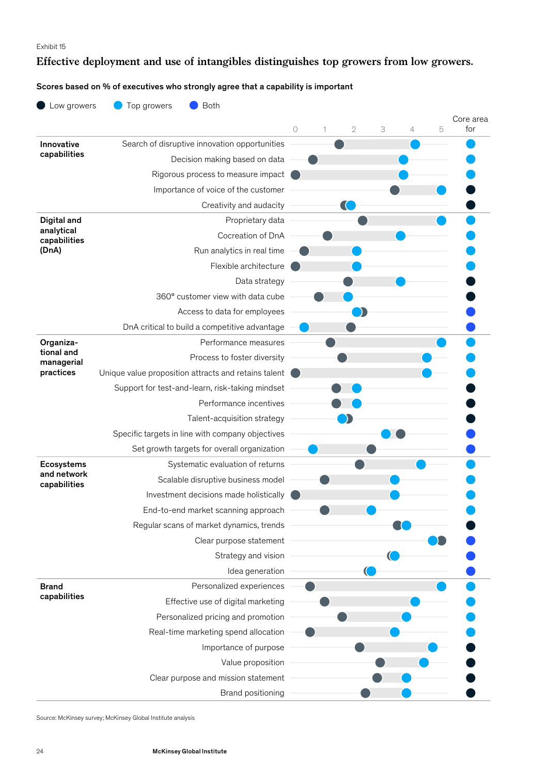# **Effective deployment and use of intangibles distinguishes top growers from low growers.**

## Scores based on % of executives who strongly agree that a capability is important

| Low growers             | Top growers<br><b>Both</b>                           |         |   |               |   |   |   |                  |
|-------------------------|------------------------------------------------------|---------|---|---------------|---|---|---|------------------|
|                         |                                                      |         |   |               |   |   |   | Core area<br>for |
| Innovative              | Search of disruptive innovation opportunities        | $\circ$ | 1 | $\mathfrak 2$ | 3 | 4 | 5 |                  |
| capabilities            | Decision making based on data                        |         |   |               |   |   |   |                  |
|                         | Rigorous process to measure impact                   |         |   |               |   |   |   |                  |
|                         | Importance of voice of the customer                  |         |   |               |   |   |   |                  |
|                         | Creativity and audacity                              |         |   |               |   |   |   |                  |
| Digital and             | Proprietary data                                     |         |   |               |   |   |   |                  |
| analytical              | Cocreation of DnA                                    |         |   |               |   |   |   |                  |
| capabilities<br>(DnA)   | Run analytics in real time                           |         |   |               |   |   |   |                  |
|                         | Flexible architecture                                |         |   |               |   |   |   |                  |
|                         | Data strategy                                        |         |   |               |   |   |   |                  |
|                         | 360° customer view with data cube                    |         |   |               |   |   |   |                  |
|                         | Access to data for employees                         |         |   |               |   |   |   |                  |
|                         | DnA critical to build a competitive advantage        |         |   |               |   |   |   |                  |
| Organiza-               | Performance measures                                 |         |   |               |   |   |   |                  |
| tional and              | Process to foster diversity                          |         |   |               |   |   |   |                  |
| managerial<br>practices | Unique value proposition attracts and retains talent |         |   |               |   |   |   |                  |
|                         | Support for test-and-learn, risk-taking mindset      |         |   |               |   |   |   |                  |
|                         | Performance incentives                               |         |   |               |   |   |   |                  |
|                         | Talent-acquisition strategy                          |         |   |               |   |   |   |                  |
|                         | Specific targets in line with company objectives     |         |   |               |   |   |   |                  |
|                         | Set growth targets for overall organization          |         |   |               |   |   |   |                  |
| <b>Ecosystems</b>       | Systematic evaluation of returns                     |         |   |               |   |   |   |                  |
| and network             | Scalable disruptive business model                   |         |   |               |   |   |   |                  |
| capabilities            | Investment decisions made holistically               |         |   |               |   |   |   |                  |
|                         | End-to-end market scanning approach                  |         |   |               |   |   |   |                  |
|                         | Regular scans of market dynamics, trends             |         |   |               |   |   |   |                  |
|                         | Clear purpose statement                              |         |   |               |   |   |   |                  |
|                         | Strategy and vision                                  |         |   |               |   |   |   |                  |
|                         | Idea generation                                      |         |   |               |   |   |   |                  |
| <b>Brand</b>            | Personalized experiences                             |         |   |               |   |   |   |                  |
| capabilities            | Effective use of digital marketing                   |         |   |               |   |   |   |                  |
|                         | Personalized pricing and promotion                   |         |   |               |   |   |   |                  |
|                         | Real-time marketing spend allocation                 |         |   |               |   |   |   |                  |
|                         | Importance of purpose                                |         |   |               |   |   |   |                  |
|                         | Value proposition                                    |         |   |               |   |   |   |                  |
|                         | Clear purpose and mission statement                  |         |   |               |   |   |   |                  |
|                         | Brand positioning                                    |         |   |               |   |   |   |                  |

Source: McKinsey survey; McKinsey Global Institute analysis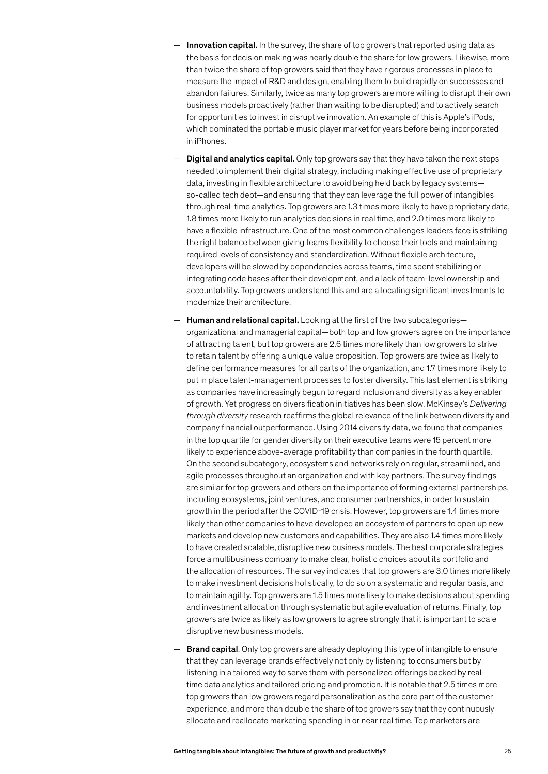- Innovation capital. In the survey, the share of top growers that reported using data as the basis for decision making was nearly double the share for low growers. Likewise, more than twice the share of top growers said that they have rigorous processes in place to measure the impact of R&D and design, enabling them to build rapidly on successes and abandon failures. Similarly, twice as many top growers are more willing to disrupt their own business models proactively (rather than waiting to be disrupted) and to actively search for opportunities to invest in disruptive innovation. An example of this is Apple's iPods, which dominated the portable music player market for years before being incorporated in iPhones.
- $-$  Digital and analytics capital. Only top growers say that they have taken the next steps needed to implement their digital strategy, including making effective use of proprietary data, investing in flexible architecture to avoid being held back by legacy systems so-called tech debt—and ensuring that they can leverage the full power of intangibles through real-time analytics. Top growers are 1.3 times more likely to have proprietary data, 1.8 times more likely to run analytics decisions in real time, and 2.0 times more likely to have a flexible infrastructure. One of the most common challenges leaders face is striking the right balance between giving teams flexibility to choose their tools and maintaining required levels of consistency and standardization. Without flexible architecture, developers will be slowed by dependencies across teams, time spent stabilizing or integrating code bases after their development, and a lack of team-level ownership and accountability. Top growers understand this and are allocating significant investments to modernize their architecture.
- Human and relational capital. Looking at the first of the two subcategoriesorganizational and managerial capital—both top and low growers agree on the importance of attracting talent, but top growers are 2.6 times more likely than low growers to strive to retain talent by offering a unique value proposition. Top growers are twice as likely to define performance measures for all parts of the organization, and 1.7 times more likely to put in place talent-management processes to foster diversity. This last element is striking as companies have increasingly begun to regard inclusion and diversity as a key enabler of growth. Yet progress on diversification initiatives has been slow. McKinsey's *Delivering through diversity* research reaffirms the global relevance of the link between diversity and company financial outperformance. Using 2014 diversity data, we found that companies in the top quartile for gender diversity on their executive teams were 15 percent more likely to experience above-average profitability than companies in the fourth quartile. On the second subcategory, ecosystems and networks rely on regular, streamlined, and agile processes throughout an organization and with key partners. The survey findings are similar for top growers and others on the importance of forming external partnerships, including ecosystems, joint ventures, and consumer partnerships, in order to sustain growth in the period after the COVID‑19 crisis. However, top growers are 1.4 times more likely than other companies to have developed an ecosystem of partners to open up new markets and develop new customers and capabilities. They are also 1.4 times more likely to have created scalable, disruptive new business models. The best corporate strategies force a multibusiness company to make clear, holistic choices about its portfolio and the allocation of resources. The survey indicates that top growers are 3.0 times more likely to make investment decisions holistically, to do so on a systematic and regular basis, and to maintain agility. Top growers are 1.5 times more likely to make decisions about spending and investment allocation through systematic but agile evaluation of returns. Finally, top growers are twice as likely as low growers to agree strongly that it is important to scale disruptive new business models.
- **Brand capital.** Only top growers are already deploying this type of intangible to ensure that they can leverage brands effectively not only by listening to consumers but by listening in a tailored way to serve them with personalized offerings backed by realtime data analytics and tailored pricing and promotion. It is notable that 2.5 times more top growers than low growers regard personalization as the core part of the customer experience, and more than double the share of top growers say that they continuously allocate and reallocate marketing spending in or near real time. Top marketers are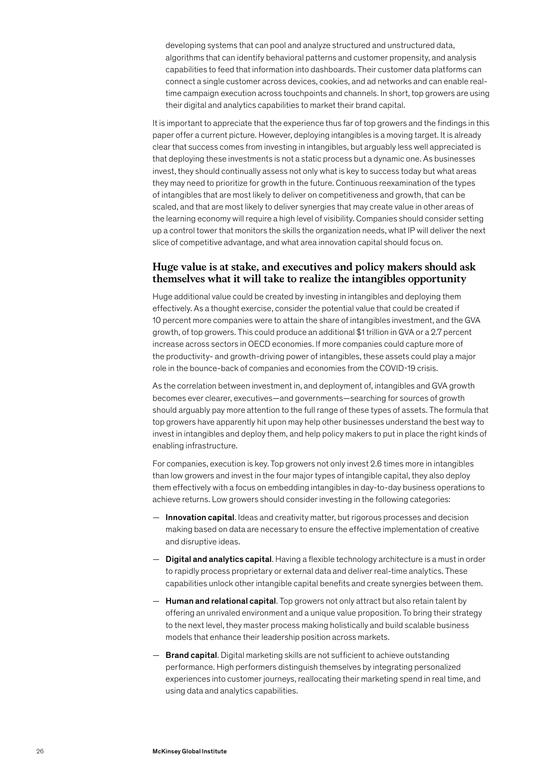developing systems that can pool and analyze structured and unstructured data, algorithms that can identify behavioral patterns and customer propensity, and analysis capabilities to feed that information into dashboards. Their customer data platforms can connect a single customer across devices, cookies, and ad networks and can enable realtime campaign execution across touchpoints and channels. In short, top growers are using their digital and analytics capabilities to market their brand capital.

It is important to appreciate that the experience thus far of top growers and the findings in this paper offer a current picture. However, deploying intangibles is a moving target. It is already clear that success comes from investing in intangibles, but arguably less well appreciated is that deploying these investments is not a static process but a dynamic one. As businesses invest, they should continually assess not only what is key to success today but what areas they may need to prioritize for growth in the future. Continuous reexamination of the types of intangibles that are most likely to deliver on competitiveness and growth, that can be scaled, and that are most likely to deliver synergies that may create value in other areas of the learning economy will require a high level of visibility. Companies should consider setting up a control tower that monitors the skills the organization needs, what IP will deliver the next slice of competitive advantage, and what area innovation capital should focus on.

### **Huge value is at stake, and executives and policy makers should ask themselves what it will take to realize the intangibles opportunity**

Huge additional value could be created by investing in intangibles and deploying them effectively. As a thought exercise, consider the potential value that could be created if 10 percent more companies were to attain the share of intangibles investment, and the GVA growth, of top growers. This could produce an additional \$1 trillion in GVA or a 2.7 percent increase across sectors in OECD economies. If more companies could capture more of the productivity- and growth-driving power of intangibles, these assets could play a major role in the bounce-back of companies and economies from the COVID-19 crisis.

As the correlation between investment in, and deployment of, intangibles and GVA growth becomes ever clearer, executives—and governments—searching for sources of growth should arguably pay more attention to the full range of these types of assets. The formula that top growers have apparently hit upon may help other businesses understand the best way to invest in intangibles and deploy them, and help policy makers to put in place the right kinds of enabling infrastructure.

For companies, execution is key. Top growers not only invest 2.6 times more in intangibles than low growers and invest in the four major types of intangible capital, they also deploy them effectively with a focus on embedding intangibles in day-to-day business operations to achieve returns. Low growers should consider investing in the following categories:

- Innovation capital. Ideas and creativity matter, but rigorous processes and decision making based on data are necessary to ensure the effective implementation of creative and disruptive ideas.
- Digital and analytics capital. Having a flexible technology architecture is a must in order to rapidly process proprietary or external data and deliver real-time analytics. These capabilities unlock other intangible capital benefits and create synergies between them.
- $-$  Human and relational capital. Top growers not only attract but also retain talent by offering an unrivaled environment and a unique value proposition. To bring their strategy to the next level, they master process making holistically and build scalable business models that enhance their leadership position across markets.
- $-$  Brand capital. Digital marketing skills are not sufficient to achieve outstanding performance. High performers distinguish themselves by integrating personalized experiences into customer journeys, reallocating their marketing spend in real time, and using data and analytics capabilities.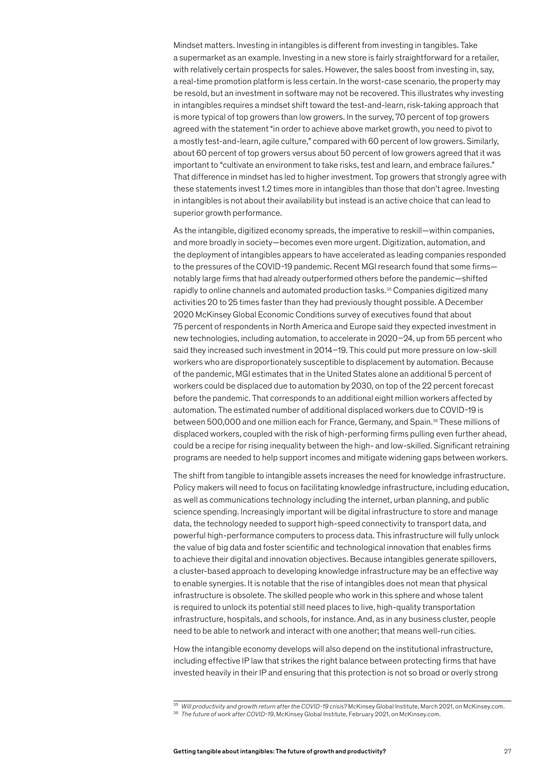Mindset matters. Investing in intangibles is different from investing in tangibles. Take a supermarket as an example. Investing in a new store is fairly straightforward for a retailer, with relatively certain prospects for sales. However, the sales boost from investing in, say, a real-time promotion platform is less certain. In the worst-case scenario, the property may be resold, but an investment in software may not be recovered. This illustrates why investing in intangibles requires a mindset shift toward the test-and-learn, risk-taking approach that is more typical of top growers than low growers. In the survey, 70 percent of top growers agreed with the statement "in order to achieve above market growth, you need to pivot to a mostly test-and-learn, agile culture," compared with 60 percent of low growers. Similarly, about 60 percent of top growers versus about 50 percent of low growers agreed that it was important to "cultivate an environment to take risks, test and learn, and embrace failures." That difference in mindset has led to higher investment. Top growers that strongly agree with these statements invest 1.2 times more in intangibles than those that don't agree. Investing in intangibles is not about their availability but instead is an active choice that can lead to superior growth performance.

As the intangible, digitized economy spreads, the imperative to reskill—within companies, and more broadly in society—becomes even more urgent. Digitization, automation, and the deployment of intangibles appears to have accelerated as leading companies responded to the pressures of the COVID-19 pandemic. Recent MGI research found that some firmsnotably large firms that had already outperformed others before the pandemic—shifted rapidly to online channels and automated production tasks.35 Companies digitized many activities 20 to 25 times faster than they had previously thought possible. A December 2020 McKinsey Global Economic Conditions survey of executives found that about 75 percent of respondents in North America and Europe said they expected investment in new technologies, including automation, to accelerate in 2020–24, up from 55 percent who said they increased such investment in 2014–19. This could put more pressure on low-skill workers who are disproportionately susceptible to displacement by automation. Because of the pandemic, MGI estimates that in the United States alone an additional 5 percent of workers could be displaced due to automation by 2030, on top of the 22 percent forecast before the pandemic. That corresponds to an additional eight million workers affected by automation. The estimated number of additional displaced workers due to COVID‑19 is between 500,000 and one million each for France, Germany, and Spain.<sup>36</sup> These millions of displaced workers, coupled with the risk of high-performing firms pulling even further ahead, could be a recipe for rising inequality between the high- and low-skilled. Significant retraining programs are needed to help support incomes and mitigate widening gaps between workers.

The shift from tangible to intangible assets increases the need for knowledge infrastructure. Policy makers will need to focus on facilitating knowledge infrastructure, including education, as well as communications technology including the internet, urban planning, and public science spending. Increasingly important will be digital infrastructure to store and manage data, the technology needed to support high-speed connectivity to transport data, and powerful high-performance computers to process data. This infrastructure will fully unlock the value of big data and foster scientific and technological innovation that enables firms to achieve their digital and innovation objectives. Because intangibles generate spillovers, a cluster-based approach to developing knowledge infrastructure may be an effective way to enable synergies. It is notable that the rise of intangibles does not mean that physical infrastructure is obsolete. The skilled people who work in this sphere and whose talent is required to unlock its potential still need places to live, high-quality transportation infrastructure, hospitals, and schools, for instance. And, as in any business cluster, people need to be able to network and interact with one another; that means well-run cities.

How the intangible economy develops will also depend on the institutional infrastructure, including effective IP law that strikes the right balance between protecting firms that have invested heavily in their IP and ensuring that this protection is not so broad or overly strong

 $\frac{35}{35}$  Will productivity and growth return after the COVID-19 crisis? McKinsey Global Institute, March 2021, on McKinsey.com.<br><sup>36</sup> The future of work after COVID-19, McKinsey Global Institute, February 2021, on McKin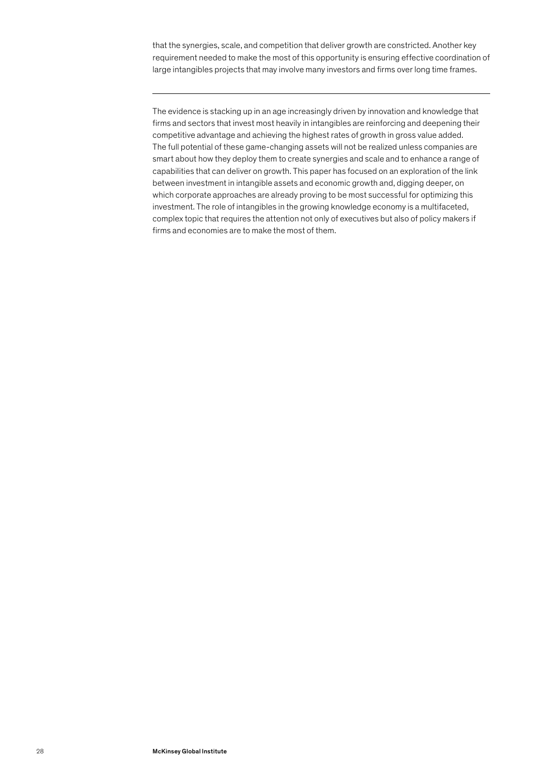that the synergies, scale, and competition that deliver growth are constricted. Another key requirement needed to make the most of this opportunity is ensuring effective coordination of large intangibles projects that may involve many investors and firms over long time frames.

The evidence is stacking up in an age increasingly driven by innovation and knowledge that firms and sectors that invest most heavily in intangibles are reinforcing and deepening their competitive advantage and achieving the highest rates of growth in gross value added. The full potential of these game-changing assets will not be realized unless companies are smart about how they deploy them to create synergies and scale and to enhance a range of capabilities that can deliver on growth. This paper has focused on an exploration of the link between investment in intangible assets and economic growth and, digging deeper, on which corporate approaches are already proving to be most successful for optimizing this investment. The role of intangibles in the growing knowledge economy is a multifaceted, complex topic that requires the attention not only of executives but also of policy makers if firms and economies are to make the most of them.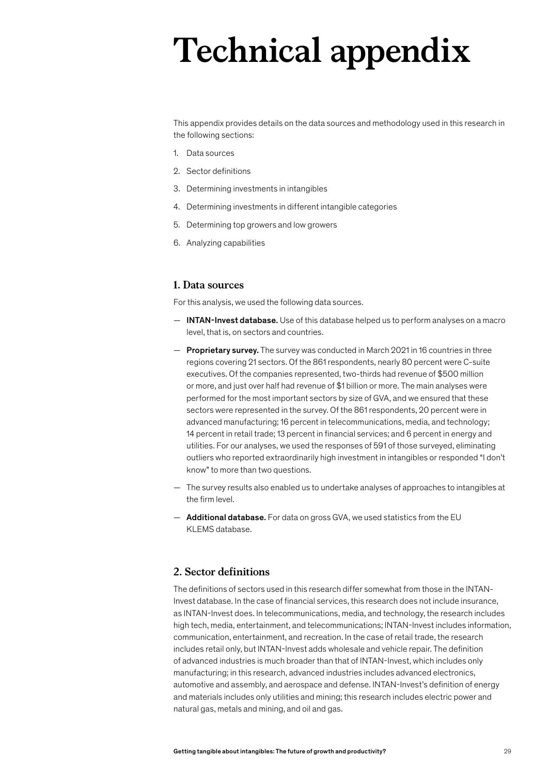# **Technical appendix**

This appendix provides details on the data sources and methodology used in this research in the following sections:

- 1. Data sources
- 2. Sector definitions
- 3. Determining investments in intangibles
- 4. Determining investments in different intangible categories
- 5. Determining top growers and low growers
- 6. Analyzing capabilities

#### **1. Data sources**

For this analysis, we used the following data sources.

- $-$  INTAN-Invest database. Use of this database helped us to perform analyses on a macro level, that is, on sectors and countries.
- $-$  Proprietary survey. The survey was conducted in March 2021 in 16 countries in three regions covering 21 sectors. Of the 861 respondents, nearly 80 percent were C-suite executives. Of the companies represented, two-thirds had revenue of \$500 million or more, and just over half had revenue of \$1 billion or more. The main analyses were performed for the most important sectors by size of GVA, and we ensured that these sectors were represented in the survey. Of the 861 respondents, 20 percent were in advanced manufacturing; 16 percent in telecommunications, media, and technology; 14 percent in retail trade; 13 percent in financial services; and 6 percent in energy and utilities. For our analyses, we used the responses of 591 of those surveyed, eliminating outliers who reported extraordinarily high investment in intangibles or responded "I don't know" to more than two questions.
- The survey results also enabled us to undertake analyses of approaches to intangibles at the firm level.
- Additional database. For data on gross GVA, we used statistics from the EU KLEMS database.

# **2. Sector definitions**

The definitions of sectors used in this research differ somewhat from those in the INTAN-Invest database. In the case of financial services, this research does not include insurance, as INTAN-Invest does. In telecommunications, media, and technology, the research includes high tech, media, entertainment, and telecommunications; INTAN-Invest includes information, communication, entertainment, and recreation. In the case of retail trade, the research includes retail only, but INTAN-Invest adds wholesale and vehicle repair. The definition of advanced industries is much broader than that of INTAN-Invest, which includes only manufacturing; in this research, advanced industries includes advanced electronics, automotive and assembly, and aerospace and defense. INTAN-Invest's definition of energy and materials includes only utilities and mining; this research includes electric power and natural gas, metals and mining, and oil and gas.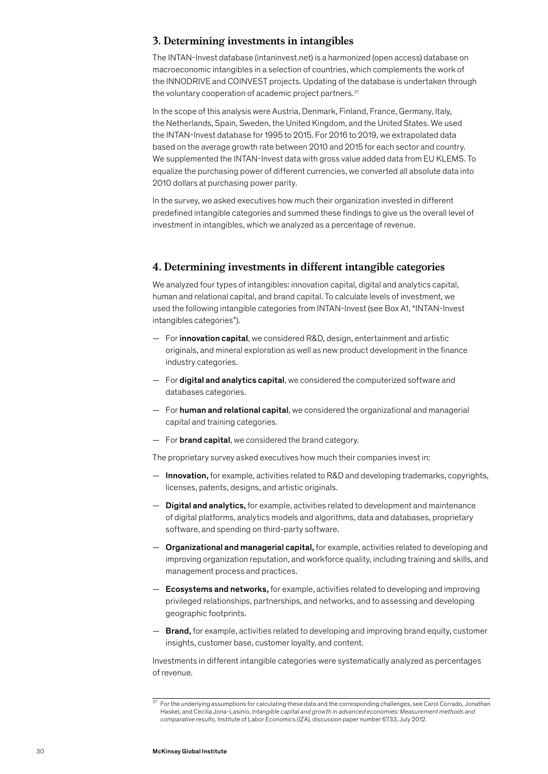#### **3. Determining investments in intangibles**

The INTAN-Invest database (intaninvest.net) is a harmonized (open access) database on macroeconomic intangibles in a selection of countries, which complements the work of the INNODRIVE and COINVEST projects. Updating of the database is undertaken through the voluntary cooperation of academic project partners.<sup>37</sup>

In the scope of this analysis were Austria, Denmark, Finland, France, Germany, Italy, the Netherlands, Spain, Sweden, the United Kingdom, and the United States. We used the INTAN-Invest database for 1995 to 2015. For 2016 to 2019, we extrapolated data based on the average growth rate between 2010 and 2015 for each sector and country. We supplemented the INTAN-Invest data with gross value added data from EU KLEMS. To equalize the purchasing power of different currencies, we converted all absolute data into 2010 dollars at purchasing power parity.

In the survey, we asked executives how much their organization invested in different predefined intangible categories and summed these findings to give us the overall level of investment in intangibles, which we analyzed as a percentage of revenue.

#### **4. Determining investments in different intangible categories**

We analyzed four types of intangibles: innovation capital, digital and analytics capital, human and relational capital, and brand capital. To calculate levels of investment, we used the following intangible categories from INTAN-Invest (see Box A1, "INTAN-Invest intangibles categories").

- For innovation capital, we considered R&D, design, entertainment and artistic originals, and mineral exploration as well as new product development in the finance industry categories.
- For digital and analytics capital, we considered the computerized software and databases categories.
- $-$  For **human and relational capital**, we considered the organizational and managerial capital and training categories.
- $-$  For **brand capital**, we considered the brand category.

The proprietary survey asked executives how much their companies invest in:

- Innovation, for example, activities related to R&D and developing trademarks, copyrights, licenses, patents, designs, and artistic originals.
- Digital and analytics, for example, activities related to development and maintenance of digital platforms, analytics models and algorithms, data and databases, proprietary software, and spending on third-party software.
- Organizational and managerial capital, for example, activities related to developing and improving organization reputation, and workforce quality, including training and skills, and management process and practices.
- Ecosystems and networks, for example, activities related to developing and improving privileged relationships, partnerships, and networks, and to assessing and developing geographic footprints.
- $-$  **Brand,** for example, activities related to developing and improving brand equity, customer insights, customer base, customer loyalty, and content.

Investments in different intangible categories were systematically analyzed as percentages of revenue.

 $37$  For the underlying assumptions for calculating these data and the corresponding challenges, see Carol Corrado, Jonathan Haskel, and Cecilia Jona-Lasinio, *Intangible capital and growth in advanced economies: Measurement methods and comparative results,* Institute of Labor Economics (IZA), discussion paper number 6733, July 2012.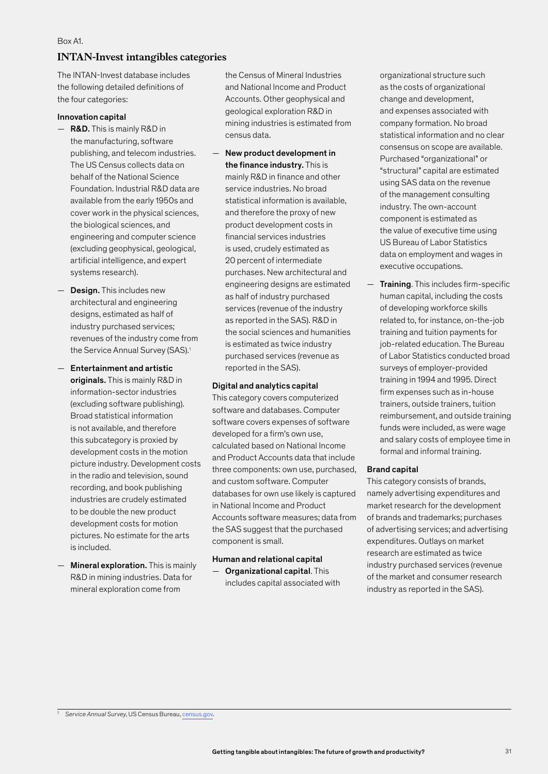#### **INTAN-Invest intangibles categories**

The INTAN-Invest database includes the following detailed definitions of the four categories:

#### Innovation capital

- R&D. This is mainly R&D in the manufacturing, software publishing, and telecom industries. The US Census collects data on behalf of the National Science Foundation. Industrial R&D data are available from the early 1950s and cover work in the physical sciences, the biological sciences, and engineering and computer science (excluding geophysical, geological, artificial intelligence, and expert systems research).
- Design. This includes new architectural and engineering designs, estimated as half of industry purchased services; revenues of the industry come from the Service Annual Survey (SAS).<sup>1</sup>
- Entertainment and artistic originals. This is mainly R&D in information-sector industries (excluding software publishing). Broad statistical information is not available, and therefore this subcategory is proxied by development costs in the motion picture industry. Development costs in the radio and television, sound recording, and book publishing industries are crudely estimated to be double the new product development costs for motion pictures. No estimate for the arts is included.
- Mineral exploration. This is mainly R&D in mining industries. Data for mineral exploration come from

the Census of Mineral Industries and National Income and Product Accounts. Other geophysical and geological exploration R&D in mining industries is estimated from census data.

— New product development in the finance industry. This is mainly R&D in finance and other service industries. No broad statistical information is available, and therefore the proxy of new product development costs in financial services industries is used, crudely estimated as 20 percent of intermediate purchases. New architectural and engineering designs are estimated as half of industry purchased services (revenue of the industry as reported in the SAS). R&D in the social sciences and humanities is estimated as twice industry purchased services (revenue as reported in the SAS).

#### Digital and analytics capital

This category covers computerized software and databases. Computer software covers expenses of software developed for a firm's own use, calculated based on National Income and Product Accounts data that include three components: own use, purchased, and custom software. Computer databases for own use likely is captured in National Income and Product Accounts software measures; data from the SAS suggest that the purchased component is small.

#### Human and relational capital

— Organizational capital. This includes capital associated with organizational structure such as the costs of organizational change and development, and expenses associated with company formation. No broad statistical information and no clear consensus on scope are available. Purchased "organizational" or "structural" capital are estimated using SAS data on the revenue of the management consulting industry. The own-account component is estimated as the value of executive time using US Bureau of Labor Statistics data on employment and wages in executive occupations.

— Training. This includes firm-specific human capital, including the costs of developing workforce skills related to, for instance, on-the-job training and tuition payments for job-related education. The Bureau of Labor Statistics conducted broad surveys of employer-provided training in 1994 and 1995. Direct firm expenses such as in-house trainers, outside trainers, tuition reimbursement, and outside training funds were included, as were wage and salary costs of employee time in formal and informal training.

#### Brand capital

This category consists of brands, namely advertising expenditures and market research for the development of brands and trademarks; purchases of advertising services; and advertising expenditures. Outlays on market research are estimated as twice industry purchased services (revenue of the market and consumer research industry as reported in the SAS).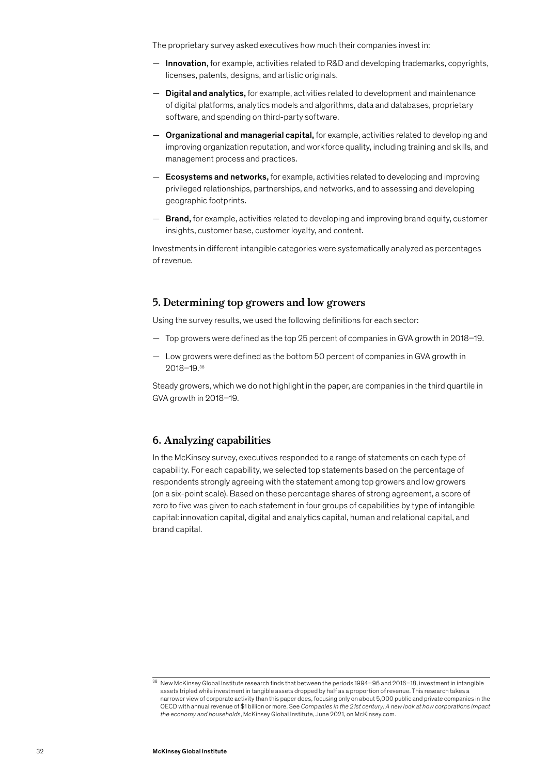The proprietary survey asked executives how much their companies invest in:

- $-$  Innovation, for example, activities related to R&D and developing trademarks, copyrights, licenses, patents, designs, and artistic originals.
- Digital and analytics, for example, activities related to development and maintenance of digital platforms, analytics models and algorithms, data and databases, proprietary software, and spending on third-party software.
- Organizational and managerial capital, for example, activities related to developing and improving organization reputation, and workforce quality, including training and skills, and management process and practices.
- Ecosystems and networks, for example, activities related to developing and improving privileged relationships, partnerships, and networks, and to assessing and developing geographic footprints.
- **Brand,** for example, activities related to developing and improving brand equity, customer insights, customer base, customer loyalty, and content.

Investments in different intangible categories were systematically analyzed as percentages of revenue.

#### **5. Determining top growers and low growers**

Using the survey results, we used the following definitions for each sector:

- Top growers were defined as the top 25 percent of companies in GVA growth in 2018–19.
- Low growers were defined as the bottom 50 percent of companies in GVA growth in 2018–19.38

Steady growers, which we do not highlight in the paper, are companies in the third quartile in GVA growth in 2018–19.

### **6. Analyzing capabilities**

In the McKinsey survey, executives responded to a range of statements on each type of capability. For each capability, we selected top statements based on the percentage of respondents strongly agreeing with the statement among top growers and low growers (on a six-point scale). Based on these percentage shares of strong agreement, a score of zero to five was given to each statement in four groups of capabilities by type of intangible capital: innovation capital, digital and analytics capital, human and relational capital, and brand capital.

 $\frac{38}{38}$  New McKinsey Global Institute research finds that between the periods 1994–96 and 2016–18, investment in intangible assets tripled while investment in tangible assets dropped by half as a proportion of revenue. This research takes a narrower view of corporate activity than this paper does, focusing only on about 5,000 public and private companies in the OECD with annual revenue of \$1 billion or more. See *Companies in the 21st century: A new look at how corporations impact the economy and households*, McKinsey Global Institute, June 2021, on McKinsey.com.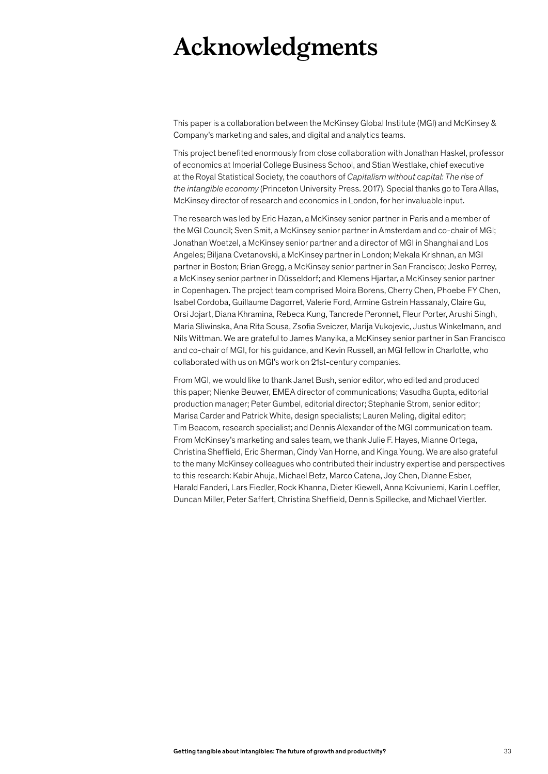# **Acknowledgments**

This paper is a collaboration between the McKinsey Global Institute (MGI) and McKinsey & Company's marketing and sales, and digital and analytics teams.

This project benefited enormously from close collaboration with Jonathan Haskel, professor of economics at Imperial College Business School, and Stian Westlake, chief executive at the Royal Statistical Society, the coauthors of *Capitalism without capital: The rise of the intangible economy* (Princeton University Press. 2017). Special thanks go to Tera Allas, McKinsey director of research and economics in London, for her invaluable input.

The research was led by Eric Hazan, a McKinsey senior partner in Paris and a member of the MGI Council; Sven Smit, a McKinsey senior partner in Amsterdam and co-chair of MGI; Jonathan Woetzel, a McKinsey senior partner and a director of MGI in Shanghai and Los Angeles; Biljana Cvetanovski, a McKinsey partner in London; Mekala Krishnan, an MGI partner in Boston; Brian Gregg, a McKinsey senior partner in San Francisco; Jesko Perrey, a McKinsey senior partner in Düsseldorf; and Klemens Hjartar, a McKinsey senior partner in Copenhagen. The project team comprised Moira Borens, Cherry Chen, Phoebe FY Chen, Isabel Cordoba, Guillaume Dagorret, Valerie Ford, Armine Gstrein Hassanaly, Claire Gu, Orsi Jojart, Diana Khramina, Rebeca Kung, Tancrede Peronnet, Fleur Porter, Arushi Singh, Maria Sliwinska, Ana Rita Sousa, Zsofia Sveiczer, Marija Vukojevic, Justus Winkelmann, and Nils Wittman. We are grateful to James Manyika, a McKinsey senior partner in San Francisco and co-chair of MGI, for his guidance, and Kevin Russell, an MGI fellow in Charlotte, who collaborated with us on MGI's work on 21st-century companies.

From MGI, we would like to thank Janet Bush, senior editor, who edited and produced this paper; Nienke Beuwer, EMEA director of communications; Vasudha Gupta, editorial production manager; Peter Gumbel, editorial director; Stephanie Strom, senior editor; Marisa Carder and Patrick White, design specialists; Lauren Meling, digital editor; Tim Beacom, research specialist; and Dennis Alexander of the MGI communication team. From McKinsey's marketing and sales team, we thank Julie F. Hayes, Mianne Ortega, Christina Sheffield, Eric Sherman, Cindy Van Horne, and Kinga Young. We are also grateful to the many McKinsey colleagues who contributed their industry expertise and perspectives to this research: Kabir Ahuja, Michael Betz, Marco Catena, Joy Chen, Dianne Esber, Harald Fanderi, Lars Fiedler, Rock Khanna, Dieter Kiewell, Anna Koivuniemi, Karin Loeffler, Duncan Miller, Peter Saffert, Christina Sheffield, Dennis Spillecke, and Michael Viertler.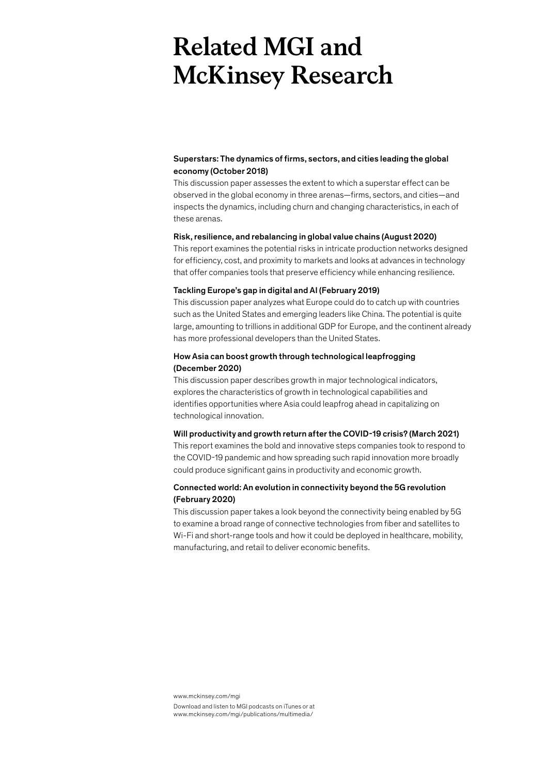# **Related MGI and McKinsey Research**

#### Superstars: The dynamics of firms, sectors, and cities leading the global economy (October 2018)

This discussion paper assesses the extent to which a superstar effect can be observed in the global economy in three arenas—firms, sectors, and cities—and inspects the dynamics, including churn and changing characteristics, in each of these arenas.

#### Risk, resilience, and rebalancing in global value chains (August 2020)

This report examines the potential risks in intricate production networks designed for efficiency, cost, and proximity to markets and looks at advances in technology that offer companies tools that preserve efficiency while enhancing resilience.

#### Tackling Europe's gap in digital and AI (February 2019)

This discussion paper analyzes what Europe could do to catch up with countries such as the United States and emerging leaders like China. The potential is quite large, amounting to trillions in additional GDP for Europe, and the continent already has more professional developers than the United States.

#### How Asia can boost growth through technological leapfrogging (December 2020)

This discussion paper describes growth in major technological indicators, explores the characteristics of growth in technological capabilities and identifies opportunities where Asia could leapfrog ahead in capitalizing on technological innovation.

#### Will productivity and growth return after the COVID-19 crisis? (March 2021)

This report examines the bold and innovative steps companies took to respond to the COVID-19 pandemic and how spreading such rapid innovation more broadly could produce significant gains in productivity and economic growth.

#### Connected world: An evolution in connectivity beyond the 5G revolution (February 2020)

This discussion paper takes a look beyond the connectivity being enabled by 5G to examine a broad range of connective technologies from fiber and satellites to Wi-Fi and short-range tools and how it could be deployed in healthcare, mobility, manufacturing, and retail to deliver economic benefits.

www.mckinsey.com/mgi Download and listen to MGI podcasts on iTunes or at www.mckinsey.com/mgi/publications/multimedia/